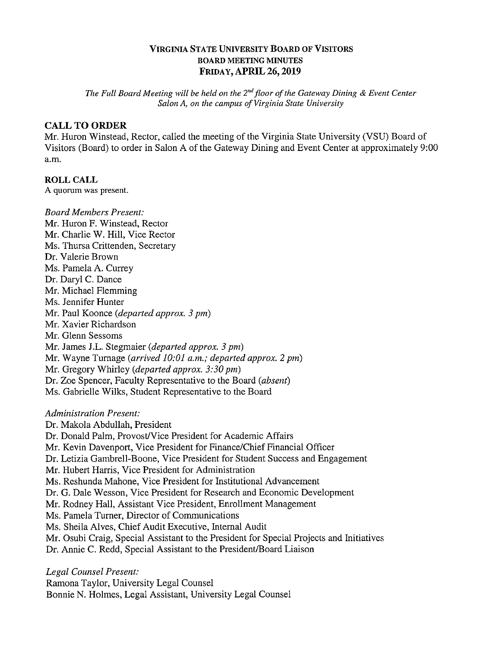## VIRGINIA STATE UNIVERSITY BOARD OF VISITORS **BOARD MEETING MINUTES FRIDAY, APRIL 26, 2019**

The Full Board Meeting will be held on the 2<sup>nd</sup> floor of the Gateway Dining & Event Center Salon A, on the campus of Virginia State University

## **CALL TO ORDER**

Mr. Huron Winstead, Rector, called the meeting of the Virginia State University (VSU) Board of Visitors (Board) to order in Salon A of the Gateway Dining and Event Center at approximately 9:00  $a.m.$ 

## **ROLL CALL**

A quorum was present.

## **Board Members Present:**

Mr. Huron F. Winstead, Rector Mr. Charlie W. Hill, Vice Rector Ms. Thursa Crittenden, Secretary Dr. Valerie Brown Ms. Pamela A. Currey Dr. Daryl C. Dance Mr. Michael Flemming Ms. Jennifer Hunter Mr. Paul Koonce (departed approx. 3 pm) Mr. Xavier Richardson Mr. Glenn Sessoms Mr. James J.L. Stegmaier (departed approx. 3 pm) Mr. Wayne Turnage (arrived 10:01 a.m.; departed approx. 2 pm) Mr. Gregory Whirley (departed approx. 3:30 pm) Dr. Zoe Spencer, Faculty Representative to the Board (absent) Ms. Gabrielle Wilks, Student Representative to the Board

## **Administration Present:**

Dr. Makola Abdullah, President Dr. Donald Palm, Provost/Vice President for Academic Affairs Mr. Kevin Davenport, Vice President for Finance/Chief Financial Officer Dr. Letizia Gambrell-Boone, Vice President for Student Success and Engagement Mr. Hubert Harris, Vice President for Administration Ms. Reshunda Mahone, Vice President for Institutional Advancement Dr. G. Dale Wesson, Vice President for Research and Economic Development Mr. Rodney Hall, Assistant Vice President, Enrollment Management Ms. Pamela Turner, Director of Communications Ms. Sheila Alves, Chief Audit Executive, Internal Audit Mr. Osubi Craig, Special Assistant to the President for Special Projects and Initiatives Dr. Annie C. Redd, Special Assistant to the President/Board Liaison

Legal Counsel Present: Ramona Taylor, University Legal Counsel Bonnie N. Holmes, Legal Assistant, University Legal Counsel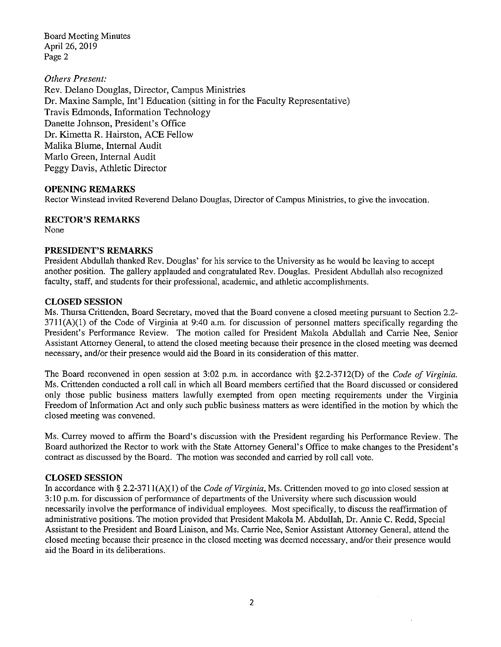**Others Present:** 

Rev. Delano Douglas, Director, Campus Ministries Dr. Maxine Sample, Int'l Education (sitting in for the Faculty Representative) Travis Edmonds, Information Technology Danette Johnson, President's Office Dr. Kimetta R. Hairston, ACE Fellow Malika Blume, Internal Audit Marlo Green, Internal Audit Peggy Davis, Athletic Director

### **OPENING REMARKS**

Rector Winstead invited Reverend Delano Douglas, Director of Campus Ministries, to give the invocation.

**RECTOR'S REMARKS** 

None

#### PRESIDENT'S REMARKS

President Abdullah thanked Rev. Douglas' for his service to the University as he would be leaving to accept another position. The gallery applauded and congratulated Rev. Douglas. President Abdullah also recognized faculty, staff, and students for their professional, academic, and athletic accomplishments.

#### **CLOSED SESSION**

Ms. Thursa Crittenden, Board Secretary, moved that the Board convene a closed meeting pursuant to Section 2.2- $3711(A)(1)$  of the Code of Virginia at 9:40 a.m. for discussion of personnel matters specifically regarding the President's Performance Review. The motion called for President Makola Abdullah and Carrie Nee, Senior Assistant Attorney General, to attend the closed meeting because their presence in the closed meeting was deemed necessary, and/or their presence would aid the Board in its consideration of this matter.

The Board reconvened in open session at 3:02 p.m. in accordance with §2.2-3712(D) of the Code of Virginia. Ms. Crittenden conducted a roll call in which all Board members certified that the Board discussed or considered only those public business matters lawfully exempted from open meeting requirements under the Virginia Freedom of Information Act and only such public business matters as were identified in the motion by which the closed meeting was convened.

Ms. Currey moved to affirm the Board's discussion with the President regarding his Performance Review. The Board authorized the Rector to work with the State Attorney General's Office to make changes to the President's contract as discussed by the Board. The motion was seconded and carried by roll call vote.

#### **CLOSED SESSION**

In accordance with § 2.2-3711(A)(1) of the *Code of Virginia*, Ms. Crittenden moved to go into closed session at 3:10 p.m. for discussion of performance of departments of the University where such discussion would necessarily involve the performance of individual employees. Most specifically, to discuss the reaffirmation of administrative positions. The motion provided that President Makola M. Abdullah, Dr. Annie C. Redd, Special Assistant to the President and Board Liaison, and Ms. Carrie Nee, Senior Assistant Attorney General, attend the closed meeting because their presence in the closed meeting was deemed necessary, and/or their presence would aid the Board in its deliberations.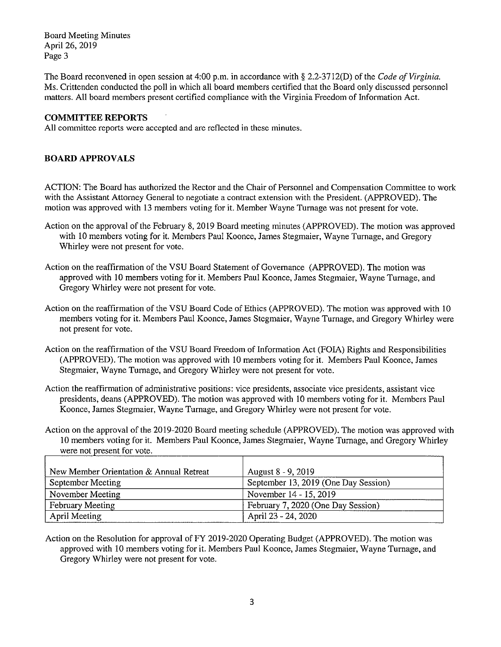The Board reconvened in open session at 4:00 p.m. in accordance with § 2.2-3712(D) of the Code of Virginia. Ms. Crittenden conducted the poll in which all board members certified that the Board only discussed personnel matters. All board members present certified compliance with the Virginia Freedom of Information Act.

#### **COMMITTEE REPORTS**

All committee reports were accepted and are reflected in these minutes.

#### **BOARD APPROVALS**

ACTION: The Board has authorized the Rector and the Chair of Personnel and Compensation Committee to work with the Assistant Attorney General to negotiate a contract extension with the President. (APPROVED). The motion was approved with 13 members voting for it. Member Wayne Turnage was not present for vote.

- Action on the approval of the February 8, 2019 Board meeting minutes (APPROVED). The motion was approved with 10 members voting for it. Members Paul Koonce, James Stegmaier, Wayne Turnage, and Gregory Whirley were not present for vote.
- Action on the reaffirmation of the VSU Board Statement of Governance (APPROVED). The motion was approved with 10 members voting for it. Members Paul Koonce, James Stegmaier, Wayne Turnage, and Gregory Whirley were not present for vote.
- Action on the reaffirmation of the VSU Board Code of Ethics (APPROVED). The motion was approved with 10 members voting for it. Members Paul Koonce, James Stegmaier, Wayne Turnage, and Gregory Whirley were not present for vote.
- Action on the reaffirmation of the VSU Board Freedom of Information Act (FOIA) Rights and Responsibilities (APPROVED). The motion was approved with 10 members voting for it. Members Paul Koonce, James Stegmaier, Wayne Turnage, and Gregory Whirley were not present for vote.
- Action the reaffirmation of administrative positions: vice presidents, associate vice presidents, assistant vice presidents, deans (APPROVED). The motion was approved with 10 members voting for it. Members Paul Koonce, James Stegmaier, Wayne Turnage, and Gregory Whirley were not present for vote.
- Action on the approval of the 2019-2020 Board meeting schedule (APPROVED). The motion was approved with 10 members voting for it. Members Paul Koonce, James Stegmaier, Wayne Turnage, and Gregory Whirley were not present for vote.

| New Member Orientation & Annual Retreat | August 8 - 9, 2019                   |
|-----------------------------------------|--------------------------------------|
| September Meeting                       | September 13, 2019 (One Day Session) |
| November Meeting                        | November 14 - 15, 2019               |
| February Meeting                        | February 7, 2020 (One Day Session)   |
| April Meeting                           | April 23 - 24, 2020                  |

Action on the Resolution for approval of FY 2019-2020 Operating Budget (APPROVED). The motion was approved with 10 members voting for it. Members Paul Koonce, James Stegmaier, Wayne Turnage, and Gregory Whirley were not present for vote.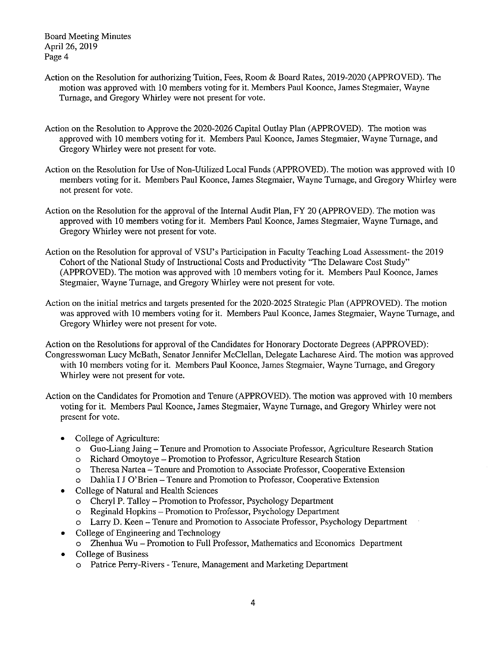- Action on the Resolution for authorizing Tuition, Fees, Room & Board Rates, 2019-2020 (APPROVED). The motion was approved with 10 members voting for it. Members Paul Koonce, James Stegmaier, Wayne Turnage, and Gregory Whirley were not present for vote.
- Action on the Resolution to Approve the 2020-2026 Capital Outlay Plan (APPROVED). The motion was approved with 10 members voting for it. Members Paul Koonce, James Stegmaier, Wayne Turnage, and Gregory Whirley were not present for vote.
- Action on the Resolution for Use of Non-Utilized Local Funds (APPROVED). The motion was approved with 10 members voting for it. Members Paul Koonce, James Stegmaier, Wayne Turnage, and Gregory Whirley were not present for vote.
- Action on the Resolution for the approval of the Internal Audit Plan, FY 20 (APPROVED). The motion was approved with 10 members voting for it. Members Paul Koonce, James Stegmaier, Wayne Turnage, and Gregory Whirley were not present for vote.
- Action on the Resolution for approval of VSU's Participation in Faculty Teaching Load Assessment- the 2019 Cohort of the National Study of Instructional Costs and Productivity "The Delaware Cost Study" (APPROVED). The motion was approved with 10 members voting for it. Members Paul Koonce, James Stegmaier, Wayne Turnage, and Gregory Whirley were not present for vote.
- Action on the initial metrics and targets presented for the 2020-2025 Strategic Plan (APPROVED). The motion was approved with 10 members voting for it. Members Paul Koonce, James Stegmaier, Wayne Turnage, and Gregory Whirley were not present for vote.
- Action on the Resolutions for approval of the Candidates for Honorary Doctorate Degrees (APPROVED): Congresswoman Lucy McBath, Senator Jennifer McClellan, Delegate Lacharese Aird. The motion was approved with 10 members voting for it. Members Paul Koonce, James Stegmaier, Wayne Turnage, and Gregory Whirley were not present for vote.
- Action on the Candidates for Promotion and Tenure (APPROVED). The motion was approved with 10 members voting for it. Members Paul Koonce, James Stegmaier, Wayne Turnage, and Gregory Whirley were not present for vote.
	- College of Agriculture:
		- o Guo-Liang Jaing Tenure and Promotion to Associate Professor, Agriculture Research Station
		- o Richard Omoytoye Promotion to Professor, Agriculture Research Station
		- o Theresa Nartea Tenure and Promotion to Associate Professor, Cooperative Extension
		- o Dahlia I J O'Brien Tenure and Promotion to Professor, Cooperative Extension
	- College of Natural and Health Sciences
		- o Cheryl P. Talley Promotion to Professor, Psychology Department
		- o Reginald Hopkins Promotion to Professor, Psychology Department
		- o Larry D. Keen Tenure and Promotion to Associate Professor, Psychology Department
	- College of Engineering and Technology
		- o Zhenhua Wu Promotion to Full Professor, Mathematics and Economics Department
	- College of Business
		- o Patrice Perry-Rivers Tenure, Management and Marketing Department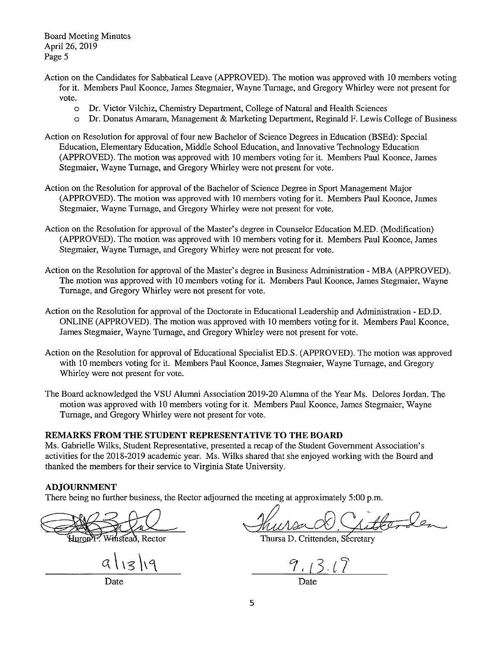- Action on the Candidates for Sabbatical Leave (APPROVED). The motion was approved with 10 members voting for it. Members Paul Koonce, James Stegmaier, Wayne Turnage, and Gregory Whirley were not present for vote.
	- o Dr. Victor Vilchiz, Chemistry Department, College of Natural and Health Sciences
	- o Dr. Donatus Amaram, Management & Marketing Department, Reginald F. Lewis College of Business
- Action on Resolution for approval of four new Bachelor of Science Degrees in Education (BSEd): Special Education, Elementary Education, Middle School Education, and Innovative Technology Education (APPROVED). The motion was approved with 10 members voting for it. Members Paul Koonce, James Stegmaier, Wayne Turnage, and Gregory Whirley were not present for vote.
- Action on the Resolution for approval of the Bachelor of Science Degree in Sport Management Major (APPROVED). The motion was approved with 10 members voting for it. Members Paul Koonce, James Stegmaier, Wayne Turnage, and Gregory Whirley were not present for vote.
- Action on the Resolution for approval of the Master's degree in Counselor Education M.ED. (Modification) (APPROVED). The motion was approved with 10 members voting for it. Members Paul Koonce, James Stegmaier, Wayne Turnage, and Gregory Whirley were not present for vote.
- Action on the Resolution for approval of the Master's degree in Business Administration MBA (APPROVED). The motion was approved with 10 members voting for it. Members Paul Koonce, James Stegmaier, Wayne Turnage, and Gregory Whirley were not present for vote.
- Action on the Resolution for approval of the Doctorate in Educational Leadership and Administration ED.D. ONLINE (APPROVED). The motion was approved with 10 members voting for it. Members Paul Koonce, James Stegmaier, Wayne Turnage, and Gregory Whirley were not present for vote.
- Action on the Resolution for approval of Educational Specialist ED.S. (APPROVED). The motion was approved with 10 members voting for it. Members Paul Koonce, James Stegmaier, Wayne Turnage, and Gregory Whirley were not present for vote.
- The Board acknowledged the VSU Alumni Association 2019-20 Alumna of the Year Ms. Delores Jordan. The motion was approved with 10 members voting for it. Members Paul Koonce, James Stegmaier, Wayne Turnage, and Gregory Whirley were not present for vote.

## REMARKS FROM THE STUDENT REPRESENTATIVE TO THE BOARD

Ms. Gabrielle Wilks, Student Representative, presented a recap of the Student Government Association's activities for the 2018-2019 academic year. Ms. Wilks shared that she enjoyed working with the Board and thanked the members for their service to Virginia State University.

#### **ADJOURNMENT**

There being no further business, the Rector adjourned the meeting at approximately 5:00 p.m.

Winstead, Rector Huron

 $9 |13 | 9$ 

Thursa D. Crittenden, Secretary

<u>Dea</u>

Date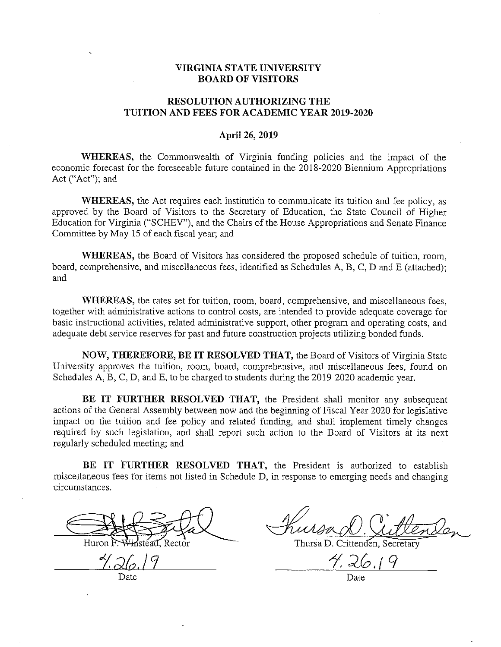#### **VIRGINIA STATE UNIVERSITY BOARD OF VISITORS**

## **RESOLUTION AUTHORIZING THE TUITION AND FEES FOR ACADEMIC YEAR 2019-2020**

#### **April 26, 2019**

**WHEREAS,** the Commonwealth of Virginia funding policies and the impact of the economic forecast for the foreseeable future contained in the 2018-2020 Biennium Appropriations Act ("Act"); and

**WHEREAS,** the Act requires each institution to communicate its tuition and fee policy, as approved by the Board of Visitors to the Secretary of Education, the State Council of Higher Education for Virginia ("SCHEY"), and the Chairs of the House Appropriations and Senate Finance Committee by May 15 of each fiscal year; and

**WHEREAS,** the Board of Visitors has considered the proposed schedule of tuition, room, board, comprehensive, and miscellaneous fees, identified as Schedules A, B, C, D and E (attached); and

**WHEREAS,** the rates set for tuition, room, board, comprehensive, and miscellaneous fees, together with administrative actions to control costs, are intended to provide adequate coverage for basic instructional activities, related administrative support, other program and operating costs, and adequate debt service reserves for past and future construction projects utilizing bonded funds.

**NOW, THEREFORE, BE IT RESOLVED THAT,** the Board of Visitors of Virginia State University approves the tuition, room, board, comprehensive, and miscellaneous fees, found on Schedules A, B, C, D, and E, to be charged to students during the 2019-2020 academic year.

**BE IT FURTHER RESOLVED THAT,** the President shall monitor any subsequent actions of the General Assembly between now and the beginning of Fiscal Year 2020 for legislative impact on the tuition and fee policy and related funding, and shall implement timely changes required by such legislation, and shall report such action to the Board of Visitors at its next regularly scheduled meeting; and

**BE IT FURTHER RESOLVED THAT,** the President is authorized to establish miscellaneous fees for items not listed in ScheduleD, in response to emerging needs and changing circumstances.

Huron

Date Date Date

Kusa D. Citlender

4, 26,19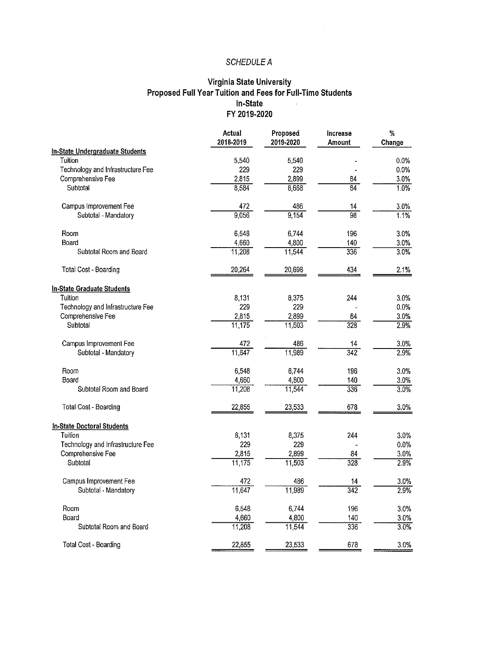## SCHEDULE A

#### **Virginia State University Proposed Full Year Tuition and Fees for Full-Time Students In-State FY 2019-2020**

|                                   | Actual<br>2018-2019 | Proposed<br>2019-2020 | Increase<br>Amount | %<br>Change |
|-----------------------------------|---------------------|-----------------------|--------------------|-------------|
| In-State Undergraduate Students   |                     |                       |                    |             |
| Tuition                           | 5,540               | 5,540                 |                    | 0.0%        |
| Technology and Infrastructure Fee | 229                 | 229                   |                    | 0.0%        |
| Comprehensive Fee                 | 2,815               | 2,899                 | 84                 | 3.0%        |
| Subtotal                          | 8,584               | 8,668                 | 84                 | 1.0%        |
| Campus Improvement Fee            | 472                 | 486                   | 14                 | 3.0%        |
| Subtotal - Mandatory              | 9,056               | 9,154                 | $\overline{98}$    | 1.1%        |
| Room                              | 6,548               | 6,744                 | 196                | 3.0%        |
| Board                             | 4,660               | 4,800                 | 140                | 3.0%        |
| Subtotal Room and Board           | 11,208              | 11,544                | 336                | 3.0%        |
| Total Cost - Boarding             | 20,264              | 20,698                | 434                | 2.1%        |
| <b>In-State Graduate Students</b> |                     |                       |                    |             |
| Tuition                           | 8,131               | 8,375                 | 244                | 3.0%        |
| Technology and Infrastructure Fee | 229                 | 229                   |                    | 0.0%        |
| Comprehensive Fee                 | 2,815               | 2,899                 | 84                 | 3.0%        |
| Subtotal                          | 11,175              | 11,503                | 328                | 2.9%        |
| Campus Improvement Fee            | 472                 | 486                   | 14                 | 3.0%        |
| Subtotal - Mandatory              | 11,647              | 11,989                | 342                | 2.9%        |
| Room                              | 6,548               | 6,744                 | 196                | 3.0%        |
| Board                             | 4,660               | 4,800                 | 140                | 3.0%        |
| Subtotal Room and Board           | 11,208              | 11,544                | 336                | 3.0%        |
| <b>Total Cost - Boarding</b>      | 22,855              | 23,533                | 678                | 3,0%        |
| In-State Doctoral Students        |                     |                       |                    |             |
| Tuition                           | 8,131               | 8,375                 | 244                | 3.0%        |
| Technology and Infrastructure Fee | 229                 | 229                   | $\blacksquare$     | $0.0\%$     |
| Comprehensive Fee                 | 2,815               | 2,899                 | 84                 | 3.0%        |
| Subtotal                          | 11,175              | 11,503                | 328                | 2.9%        |
| Campus Improvement Fee            | 472                 | 486                   | 14                 | 3.0%        |
| Subtotal - Mandatory              | 11,647              | 11,989                | $\overline{342}$   | 2.9%        |
| Room                              | 6,548               | 6,744                 | 196                | 3.0%        |
| Board                             | 4,660               | 4,800                 | 140                | 3.0%        |
| Subtotal Room and Board           | 11,208              | 11,544                | 336                | 3.0%        |
| Total Cost - Boarding             | 22,855              | 23,533                | 678                | 3.0%        |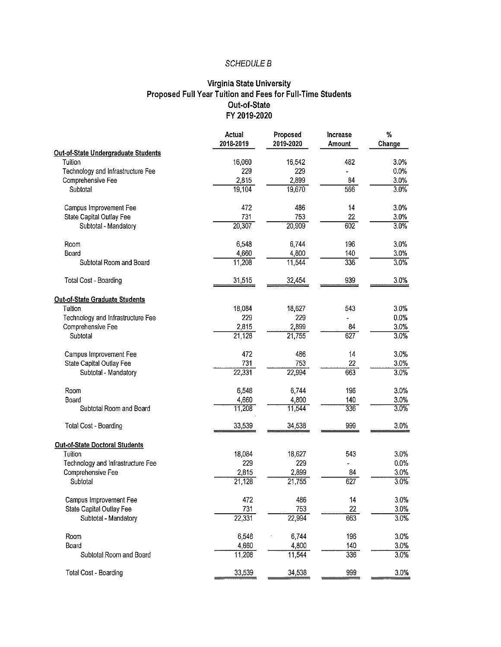## SCHEDULE B

#### Virginia State University Proposed Full Year Tuition and Fees for Full-Time Students Out-of-State FY 2019-2020

|                                       | Actual<br>2018-2019 | Proposed<br>2019-2020 | Increase<br>Amount | ₩<br>Change |
|---------------------------------------|---------------------|-----------------------|--------------------|-------------|
| Out-of-State Undergraduate Students   |                     |                       |                    |             |
| Tuition                               | 16,060              | 16,542                | 482                | 3.0%        |
| Technology and Infrastructure Fee     | 229                 | 229                   |                    | 0.0%        |
| Comprehensive Fee                     | 2,815               | 2,899                 | 84                 | 3.0%        |
| Subtotal                              | 19,104              | 19,670                | 566                | 3.0%        |
| Campus Improvement Fee                | 472                 | 486                   | 14                 | 3.0%        |
| State Capital Outlay Fee              | 731                 | 753                   | 22                 | 3.0%        |
| Subtotal - Mandatory                  | 20,307              | 20,909                | 602                | 3.0%        |
| Room                                  | 6,548               | 6744                  | 196                | 3.0%        |
| Board                                 | 4,660               | 4,800                 | 140                | 3.0%        |
| Subtotal Room and Board               | 11,208              | 11.544                | 336                | 3.0%        |
| Total Cost - Boarding                 | 31,515              | 32,454                | 939                | 3.0%        |
| <b>Out-of-State Graduate Students</b> |                     |                       |                    |             |
| Tuition                               | 18,084              | 18,627                | 543                | 3.0%        |
| Technology and Infrastructure Fee     | 229                 | 229                   |                    | 0.0%        |
| Comprehensive Fee                     | 2,815               | 2,899                 | 84                 | 3.0%        |
| Subtotal                              | 21,128              | 21,755                | $\overline{627}$   | 3.0%        |
| Campus Improvement Fee                | 472                 | 486                   | 14                 | 3.0%        |
| State Capital Outlay Fee              | 731                 | 753                   | 22                 | 3.0%        |
| Subtotal - Mandatory                  | 22,331              | 22,994                | 663                | 3.0%        |
| Room                                  | 6,548               | 6,744                 | 196                | 3.0%        |
| Board                                 | 4,660               | 4,800                 | 140                | 3.0%        |
| Subtotal Room and Board               | 11,208              | 11 544                | 336                | 3.0%        |
| Total Cost - Boarding                 | 33,539              | 34,538                | 999                | 3.0%        |
| <b>Out-of-State Doctoral Students</b> |                     |                       |                    |             |
| Tuition                               | 18,084              | 18,627                | 543                | 3.0%        |
| Technology and Infrastructure Fee     | 229                 | 229                   |                    | 0.0%        |
| Comprehensive Fee                     | 2.815               | 2,899                 | 84                 | 3.0%        |
| Subtotal                              | 21,128              | 21,755                | 627                | 3.0%        |
| Campus Improvement Fee                | 472                 | 486                   | 14                 | 3.0%        |
| State Capital Outlay Fee              | 731                 | 753                   | 22                 | 3.0%        |
| Subtotal - Mandatory                  | 22,331              | 22,994                | 663                | 3.0%        |
| Room                                  | 6,548               | 6,744                 | 196                | $3.0\%$     |
| Board                                 | 4,660               | 4,800                 | 140                | 3.0%        |
| Subtotal Room and Board               | 11,208              | 11,544                | 336                | 3.0%        |
| Total Cost - Boarding                 | 33,539              | 34,538                | 999                | $3.0\%$     |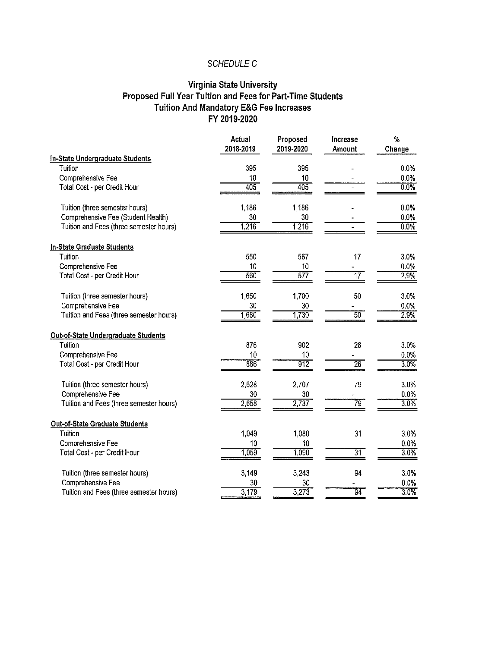## SCHEDULE C

## **Virginia State University Proposed Full Year Tuition and Fees for Part-Time Students Tuition And Mandatory E&G Fee Increases FY 2019-2020**

|                                         | Actual<br>2018-2019 | Proposed<br>2019-2020 | Increase<br>Amount | $\%$<br>Change |
|-----------------------------------------|---------------------|-----------------------|--------------------|----------------|
| In-State Undergraduate Students         |                     |                       |                    |                |
| Tuition                                 | 395                 | 395                   |                    | 0.0%           |
| Comprehensive Fee                       | 10                  | 10                    |                    | 0.0%           |
| Total Cost - per Credit Hour            | 405                 | 405                   |                    | 0.0%           |
| Tuition (three semester hours)          | 1,186               | 1,186                 |                    | 0.0%           |
| Comprehensive Fee (Student Health)      | 30                  | $30\,$                |                    | 0.0%           |
| Tuition and Fees (three semester hours) | 1,216               | 1,216                 |                    | 0.0%           |
| In-State Graduate Students              |                     |                       |                    |                |
| Tuition                                 | 550                 | 567                   | 17                 | 3.0%           |
| Comprehensive Fee                       | 10                  | 10                    |                    | $0.0\%$        |
| Total Cost - per Credit Hour            | 560                 | $\overline{577}$      | 77                 | 2.9%           |
| Tuition (three semester hours)          | 1,650               | 1,700                 | 50                 | 3.0%           |
| Comprehensive Fee                       | 30                  | $30\,$                |                    | 0.0%           |
| Tuition and Fees (three semester hours) | 1,680               | 1,730                 | $\overline{50}$    | 2.9%           |
| Out-of-State Undergraduate Students     |                     |                       |                    |                |
| Tuition                                 | 876                 | 902                   | 26                 | 3.0%           |
| Comprehensive Fee                       | 10                  | 10                    |                    | $0.0\%$        |
| Total Cost - per Credit Hour            | 886                 | $\overline{912}$      | $\overline{26}$    | 3.0%           |
| Tuition (three semester hours)          | 2,628               | 2,707                 | 79                 | 3.0%           |
| Comprehensive Fee                       | 30                  | 30                    |                    | $0.0\%$        |
| Tuition and Fees (three semester hours) | 2,658               | 2,737                 | 79                 | 3.0%           |
| <b>Out-of-State Graduate Students</b>   |                     |                       |                    |                |
| Tuition                                 | 1,049               | 1,080                 | 31                 | 3.0%           |
| Comprehensive Fee                       | 10                  | 10                    |                    | $0.0\%$        |
| Total Cost - per Credit Hour            | 1,059               | 1,090                 | $\overline{31}$    | 3.0%           |
| Tuition (three semester hours)          | 3,149               | 3,243                 | 94                 | 3.0%           |
| Comprehensive Fee                       | 30                  | 30                    |                    | 0.0%           |
| Tuition and Fees (three semester hours) | 3,179               | 3,273                 | $\overline{94}$    | 3.0%           |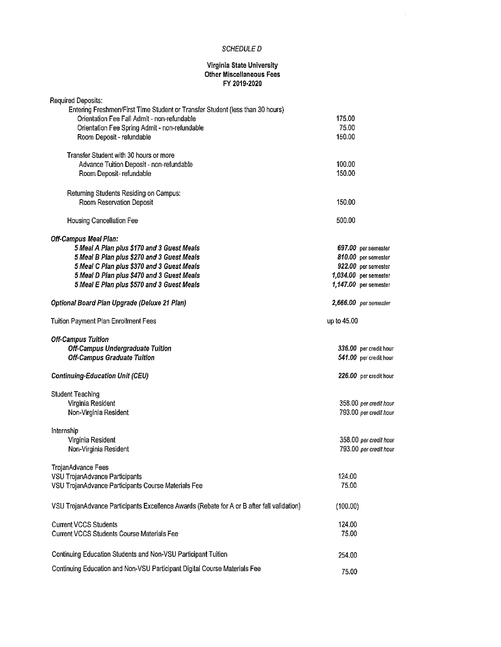#### SCHEDULE D

 $\mathcal{L}_{\text{max}}$ 

#### Virginia State University other Miscellaneous Fees FY 2019-2020

| Required Deposits:<br>Entering Freshmen/First Time Student or Transfer Student (less than 30 hours) |                        |                        |
|-----------------------------------------------------------------------------------------------------|------------------------|------------------------|
| Orientation Fee Fall Admit - non-refundable                                                         | 175.00                 |                        |
| Orientation Fee Spring Admit - non-refundable                                                       | 75.00                  |                        |
| Room Deposit - refundable                                                                           | 150.00                 |                        |
|                                                                                                     |                        |                        |
| Transfer Student with 30 hours or more                                                              |                        |                        |
| Advance Tuition Deposit - non-refundable                                                            | 100.00                 |                        |
| Room Deposit- refundable                                                                            | 150.00                 |                        |
|                                                                                                     |                        |                        |
| Returning Students Residing on Campus:                                                              |                        |                        |
| Room Reservation Deposit                                                                            | 150.00                 |                        |
| Housing Cancellation Fee                                                                            | 500.00                 |                        |
| <b>Off-Campus Meal Plan:</b>                                                                        |                        |                        |
| 5 Meal A Plan plus \$170 and 3 Guest Meals                                                          | 697.00 per semester    |                        |
| 5 Meal B Plan plus \$270 and 3 Guest Meals                                                          | 810.00 per semester    |                        |
| 5 Meal C Plan plus \$370 and 3 Guest Meals                                                          | 922.00 per semester    |                        |
| 5 Meal D Plan plus \$470 and 3 Guest Meals                                                          | 1,034.00 per semester  |                        |
| 5 Meal E Plan plus \$570 and 3 Guest Meals                                                          | 1,147.00 per semester  |                        |
|                                                                                                     |                        |                        |
| Optional Board Plan Upgrade (Deluxe 21 Plan)                                                        | 2,666.00 per semester  |                        |
| <b>Tuition Payment Plan Enrollment Fees</b>                                                         | up to 45.00            |                        |
| <b>Off-Campus Tuition</b><br><b>Off-Campus Undergraduate Tuition</b>                                | 336.00 per credit hour |                        |
| <b>Off-Campus Graduate Tuition</b>                                                                  | 541.00 per credit hour |                        |
|                                                                                                     |                        |                        |
| <b>Continuing-Education Unit (CEU)</b>                                                              | 226.00 per credit hour |                        |
| <b>Student Teaching</b>                                                                             |                        |                        |
| Virginia Resident                                                                                   |                        | 358.00 per credit hour |
| Non-Virginia Resident                                                                               |                        | 793.00 per credit hour |
|                                                                                                     |                        |                        |
| Internship                                                                                          |                        | 358.00 per credit hour |
| Virginia Resident<br>Non-Virginia Resident                                                          |                        | 793.00 per credit hour |
|                                                                                                     |                        |                        |
| TrojanAdvance Fees                                                                                  |                        |                        |
| VSU TrojanAdvance Participants                                                                      | 124.00                 |                        |
| VSU TrojanAdvance Participants Course Materials Fee                                                 | 75.00                  |                        |
|                                                                                                     |                        |                        |
| VSU TrojanAdvance Participants Excellence Awards (Rebate for A or B after fall validation)          | (100.00)               |                        |
| <b>Current VCCS Students</b>                                                                        | 124.00                 |                        |
| <b>Current VCCS Students Course Materials Fee</b>                                                   | 75.00                  |                        |
|                                                                                                     |                        |                        |
| Continuing Education Students and Non-VSU Participant Tuition                                       | 254.00                 |                        |
| Continuing Education and Non-VSU Participant Digital Course Materials Fee                           | 75.00                  |                        |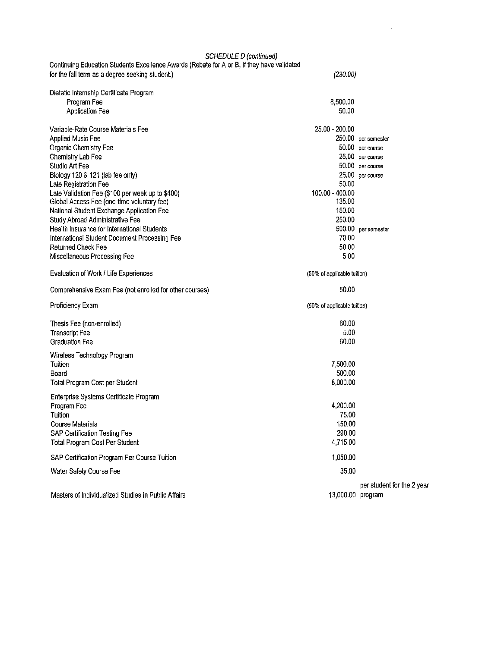| SCHEDULE D (continued)                                                                     |                             |                            |
|--------------------------------------------------------------------------------------------|-----------------------------|----------------------------|
| Continuing Education Students Excellence Awards (Rebate for A or B, If they have validated |                             |                            |
| for the fall term as a degree seeking student.)                                            | (230.00)                    |                            |
| Dietetic Internship Certificate Program                                                    |                             |                            |
| Program Fee                                                                                | 8,500.00                    |                            |
| <b>Application Fee</b>                                                                     | 50.00                       |                            |
|                                                                                            |                             |                            |
| Variable-Rate Course Materials Fee                                                         | 25.00 - 200.00              |                            |
| Applied Music Fee                                                                          |                             | 250.00 per semester        |
| Organic Chemistry Fee                                                                      |                             | 50.00 per course           |
| Chemistry Lab Fee                                                                          |                             | 25.00 per course           |
| <b>Studio Art Fee</b>                                                                      |                             | 50.00 per course           |
| Biology 120 & 121 (lab fee only)                                                           |                             | 25.00 per course           |
| Late Registration Fee                                                                      | 50.00                       |                            |
| Late Validation Fee (\$100 per week up to \$400)                                           | 100.00 - 400.00             |                            |
| Global Access Fee (one-time voluntary fee)                                                 | 135.00                      |                            |
| National Student Exchange Application Fee                                                  | 150.00                      |                            |
| Study Abroad Administrative Fee                                                            | 250.00                      |                            |
| Health Insurance for International Students                                                | 70.00                       | 500.00 per semester        |
| International Student Document Processing Fee<br><b>Returned Check Fee</b>                 | 50.00                       |                            |
|                                                                                            | 5.00                        |                            |
| Miscellaneous Processing Fee                                                               |                             |                            |
| Evaluation of Work / Life Experiences                                                      | (50% of applicable tuition) |                            |
| Comprehensive Exam Fee (not enrolled for other courses)                                    | 50.00                       |                            |
| Proficiency Exam                                                                           | (50% of applicable tuition) |                            |
| Thesis Fee (non-enrolled)                                                                  | 60.00                       |                            |
| <b>Transcript Fee</b>                                                                      | 5.00                        |                            |
| <b>Graduation Fee</b>                                                                      | 60.00                       |                            |
|                                                                                            |                             |                            |
| Wireless Technology Program                                                                |                             |                            |
| Tuition                                                                                    | 7,500.00<br>500.00          |                            |
| Board                                                                                      |                             |                            |
| Total Program Cost per Student                                                             | 8,000.00                    |                            |
| Enterprise Systems Certificate Program                                                     |                             |                            |
| Program Fee                                                                                | 4,200.00                    |                            |
| Tuition                                                                                    | 75.00                       |                            |
| <b>Course Materials</b>                                                                    | 150.00                      |                            |
| <b>SAP Certification Testing Fee</b>                                                       | 290.00                      |                            |
| Total Program Cost Per Student                                                             | 4,715.00                    |                            |
| SAP Certification Program Per Course Tuition                                               | 1,050.00                    |                            |
| Water Safety Course Fee                                                                    | 35.00                       |                            |
|                                                                                            |                             | per student for the 2 year |
| Masters of Individualized Studies in Public Affairs                                        | 13,000.00 program           |                            |

 $\label{eq:2.1} \frac{1}{\sqrt{2}}\int_{0}^{\infty}\frac{1}{\sqrt{2\pi}}\left(\frac{1}{\sqrt{2\pi}}\right)^{2}d\mu\int_{0}^{\infty}\frac{1}{\sqrt{2\pi}}\left(\frac{1}{\sqrt{2\pi}}\right)^{2}d\mu\int_{0}^{\infty}\frac{1}{\sqrt{2\pi}}\left(\frac{1}{\sqrt{2\pi}}\right)^{2}d\mu\int_{0}^{\infty}\frac{1}{\sqrt{2\pi}}\frac{1}{\sqrt{2\pi}}\frac{1}{\sqrt{2\pi}}\frac{1}{\sqrt{2\pi}}\frac{1}{\sqrt{2\pi}}$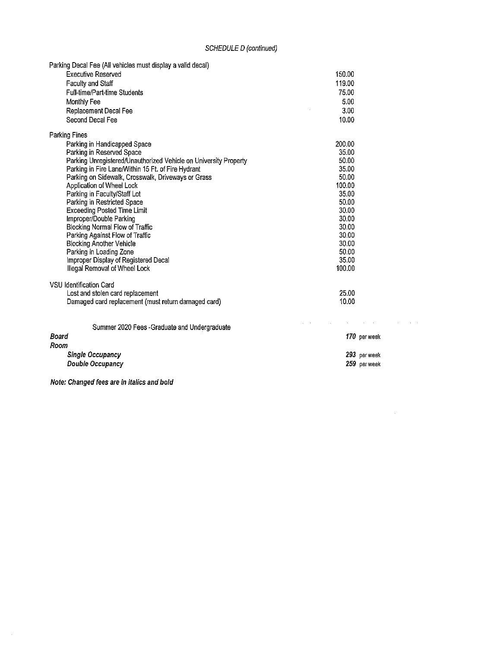## SCHEDULE D (continued)

 $\mathcal{A}^{\mathcal{A}}$  and  $\mathcal{A}^{\mathcal{A}}$  are  $\mathcal{A}^{\mathcal{A}}$  .

| Parking Decal Fee (All vehicles must display a valid decal)<br><b>Executive Reserved</b><br><b>Faculty and Staff</b><br>Full-time/Part-time Students<br>Monthly Fee<br><b>Replacement Decal Fee</b><br>Second Decal Fee                                                                                                                                                                                                                                                                                                                                                                                                                     | 150.00<br>119.00<br>75.00<br>5.00<br>3.00<br>10.00                                                                                              |                              |
|---------------------------------------------------------------------------------------------------------------------------------------------------------------------------------------------------------------------------------------------------------------------------------------------------------------------------------------------------------------------------------------------------------------------------------------------------------------------------------------------------------------------------------------------------------------------------------------------------------------------------------------------|-------------------------------------------------------------------------------------------------------------------------------------------------|------------------------------|
| <b>Parking Fines</b><br>Parking in Handicapped Space<br>Parking in Reserved Space<br>Parking Unregistered/Unauthorized Vehicle on University Property<br>Parking in Fire Lane/Within 15 Ft. of Fire Hydrant<br>Parking on Sidewalk, Crosswalk, Driveways or Grass<br>Application of Wheel Lock<br>Parking in Faculty/Staff Lot<br>Parking in Restricted Space<br><b>Exceeding Posted Time Limit</b><br>Improper/Double Parking<br>Blocking Normal Flow of Traffic<br>Parking Against Flow of Traffic<br><b>Blocking Another Vehicle</b><br>Parking in Loading Zone<br>Improper Display of Registered Decal<br>Illegal Removal of Wheel Lock | 200.00<br>35.00<br>50.00<br>35.00<br>50.00<br>100.00<br>35.00<br>50.00<br>30.00<br>30.00<br>30.00<br>30.00<br>30.00<br>50.00<br>35.00<br>100.00 |                              |
| <b>VSU</b> Identification Card<br>Lost and stolen card replacement<br>Damaged card replacement (must return damaged card)                                                                                                                                                                                                                                                                                                                                                                                                                                                                                                                   | 25.00<br>10.00                                                                                                                                  |                              |
| Summer 2020 Fees - Graduate and Undergraduate<br>Board<br>Room<br><b>Single Occupancy</b>                                                                                                                                                                                                                                                                                                                                                                                                                                                                                                                                                   |                                                                                                                                                 | 170 per week<br>293 per week |
| Double Occupancy                                                                                                                                                                                                                                                                                                                                                                                                                                                                                                                                                                                                                            |                                                                                                                                                 | 259 per week                 |

**Note: Changed fees are in italics and bold**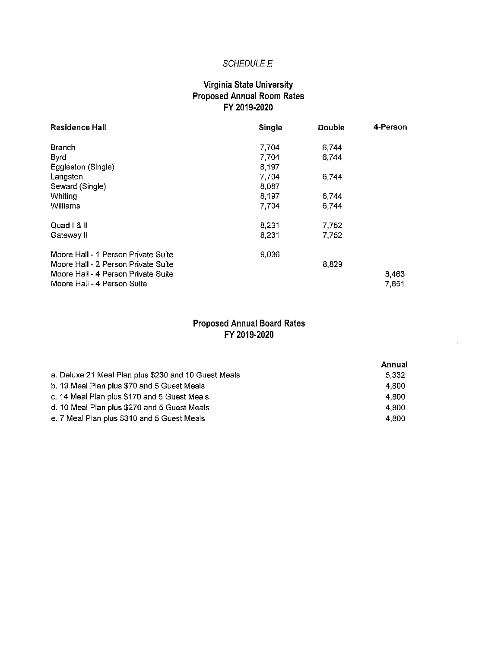## SCHEDULE E

## Virginia State University Proposed Annual Room Rates FY 2019-2020

| <b>Residence Hall</b>               | Single  | <b>Double</b> | 4-Person |
|-------------------------------------|---------|---------------|----------|
| Branch                              | 7 7 0 4 | 6,744         |          |
| Byrd                                | 7.704   | 6.744         |          |
| Eggleston (Single)                  | 8,197   |               |          |
| Langston                            | 7.704   | 6,744         |          |
| Seward (Single)                     | 8,087   |               |          |
| <b>Whiting</b>                      | 8.197   | 6,744         |          |
| Williams                            | 7.704   | 6,744         |          |
| Quad   & II                         | 8.231   | 7,752         |          |
| Gateway II                          | 8,231   | 7,752         |          |
| Moore Hall - 1 Person Private Suite | 9.036   |               |          |
| Moore Hall - 2 Person Private Suite |         | 8,829         |          |
| Moore Hall - 4 Person Private Suite |         |               | 8,463    |
| Moore Hall - 4 Person Suite         |         |               | 7.651    |

## Proposed Annual Board Rates FY 2019-2020

 $\mathbf{r}$ 

|                                                      | Annual |
|------------------------------------------------------|--------|
| a. Deluxe 21 Meal Plan plus \$230 and 10 Guest Meals | 5.332  |
| b. 19 Meal Plan plus \$70 and 5 Guest Meals          | 4.800  |
| c. 14 Meal Plan plus \$170 and 5 Guest Meals         | 4.800  |
| d. 10 Meal Plan plus \$270 and 5 Guest Meals         | 4.800  |
| e. 7 Meal Plan plus \$310 and 5 Guest Meals          | 4.800  |

 $\hat{\mathcal{A}}$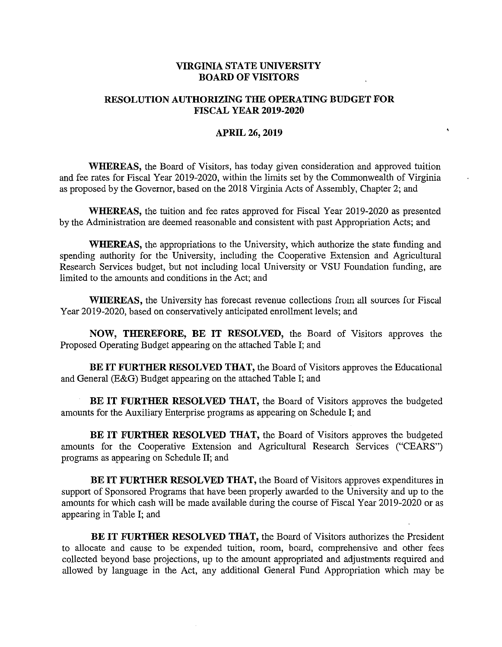## **VIRGINIA STATE UNIVERSITY BOARD OF VISITORS**

## **RESOLUTION AUTHORIZING THE OPERATING BUDGET FOR FISCAL YEAR 2019-2020**

#### **APRIL 26, 2019**

**WHEREAS,** the Board of Visitors, has today given consideration and approved tuition and fee rates for Fiscal Year 2019-2020, within the limits set by the Commonwealth of Virginia as proposed by the Governor, based on the 2018 Virginia Acts of Assembly, Chapter 2; and

**WHEREAS,** the tuition and fee rates approved for Fiscal Year 2019-2020 as presented by the Administration are deemed reasonable and consistent with past Appropriation Acts; and

**WHEREAS,** the appropriations to the University, which authorize the state funding and spending authority for the University, including the Cooperative Extension and Agricultural Research Services budget, but not including local University or VSU Foundation funding, are limited to the amounts and conditions in the Act; and

**WlillREAS,** the University has forecast revenue collections from all sources for Fiscal Year 2019-2020, based on conservatively anticipated enrollment levels; and

**NOW, THEREFORE, BE IT RESOLVED,** the Board of Visitors approves the Proposed Operating Budget appearing on the attached Table I; and

**BE IT FURTHER RESOLVED THAT,** the Board of Visitors approves the Educational and General (E&G) Budget appearing on the attached Table I; and

**BE IT FURTHER RESOLVED THAT,** the Board of Visitors approves the budgeted amounts for the Auxiliary Enterprise programs as appearing on Schedule I; and

**BE IT FURTHER RESOLVED THAT,** the Board of Visitors approves the budgeted amounts for the Cooperative Extension and Agricultural Research Services ("CEARS") programs as appearing on Schedule II; and

**BE IT FURTHER RESOLVED THAT,** the Board of Visitors approves expenditures in support of Sponsored Programs that have been properly awarded to the University and up to the amounts for which cash will be made available during the course of Fiscal Year 2019-2020 or as appearing in Table I; and

**BE IT FURTHER RESOLVED THAT,** the Board of Visitors authorizes the President to allocate and cause to be expended tuition, room, board, comprehensive and other fees collected beyond base projections, up to the amount appropriated and adjustments required and allowed by language in the Act, any additional General Fund Appropriation which may be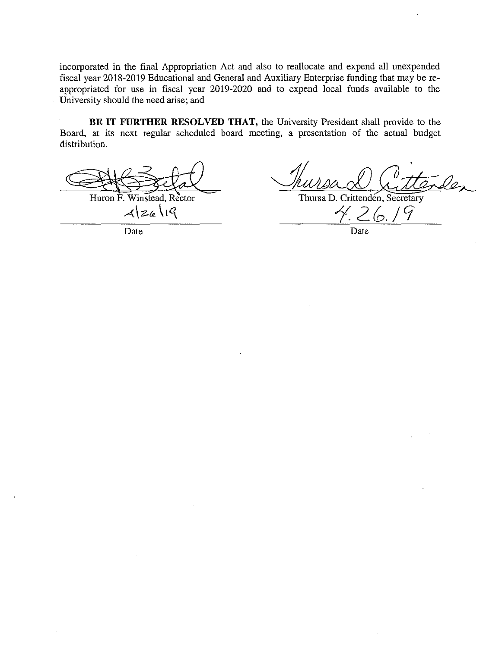incorporated in the final Appropriation Act and also to reallocate and expend all unexpended fiscal year 2018-2019 Educational and General and Auxiliary Enterprise funding that may be reappropriated for use in fiscal year 2019-2020 and to expend local funds available to the University should the need arise; and

**BE IT FURTHER RESOLVED THAT,** the University President shall provide to the Board, at its next regular scheduled board meeting, a presentation of the actual budget distribution.

Surie, and the Lucian Registration.

Huron F. Winstead, Rector<br>  $\lambda | z \& \lambda | q$ <br>
Date<br>
Date

*J/wwA\_ci)*  Cittender

Thursa D. Crittenden, Secretary

Date Date Date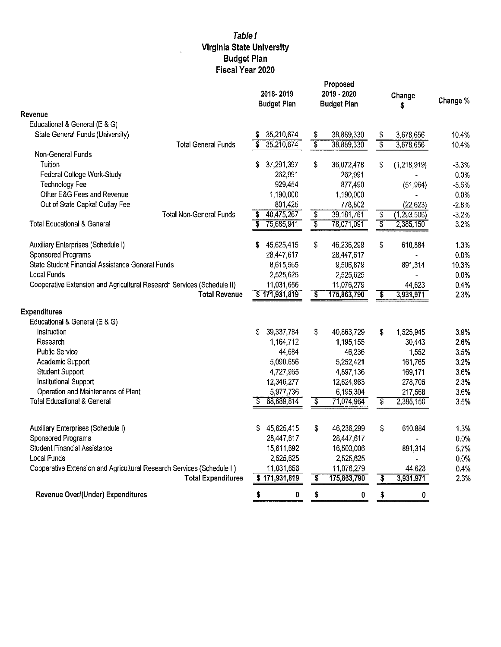## **Table/ Virginia State University Budget Plan Fiscal Year 2020**

 $\ddot{\phantom{a}}$ 

|                                                                        | 2018-2019<br><b>Budget Plan</b>        |                         | Proposed<br>2019 - 2020<br><b>Budget Plan</b> |                           | Change<br>\$  | Change % |
|------------------------------------------------------------------------|----------------------------------------|-------------------------|-----------------------------------------------|---------------------------|---------------|----------|
| Revenue                                                                |                                        |                         |                                               |                           |               |          |
| Educational & General (E & G)                                          |                                        |                         |                                               |                           |               |          |
| State General Funds (University)                                       | 35,210,674<br>S                        | \$                      | 38,889,330                                    | \$                        | 3,678,656     | 10.4%    |
| <b>Total General Funds</b>                                             | $\overline{\mathcal{S}}$<br>35,210,674 | $\overline{\mathbb{S}}$ | 38,889,330                                    | $\overline{\mathcal{E}}$  | 3,678,656     | 10.4%    |
| Non-General Funds                                                      |                                        |                         |                                               |                           |               |          |
| Tuition                                                                | 37,291,397<br>Ŝ.                       | \$                      | 36,072,478                                    | S                         | (1, 218, 919) | $-3.3%$  |
| Federal College Work-Study                                             | 262,991                                |                         | 262,991                                       |                           |               | 0.0%     |
| <b>Technology Fee</b>                                                  | 929,454                                |                         | 877,490                                       |                           | (51, 964)     | $-5.6%$  |
| Other E&G Fees and Revenue                                             | 1,190,000                              |                         | 1,190,000                                     |                           |               | 0.0%     |
| Out of State Capital Outlay Fee                                        | 801.425                                |                         | 778,802                                       |                           | (22, 623)     | $-2.8%$  |
| <b>Total Non-General Funds</b>                                         | 40,475,267<br>S                        | \$                      | 39, 181, 761                                  | $\overline{\mathbb{S}}$   | (1, 293, 506) | $-3.2%$  |
| <b>Total Educational &amp; General</b>                                 | T<br>75,685,941                        | 3                       | 78,071,091                                    | $\overline{\mathfrak{s}}$ | 2,385,150     | 3.2%     |
| Auxiliary Enterprises (Schedule I)                                     | S.<br>45,625,415                       | \$                      | 46,236,299                                    | \$                        | 610,884       | 1.3%     |
| Sponsored Programs                                                     | 28,447,617                             |                         | 28,447,617                                    |                           |               | 0.0%     |
| State Student Financial Assistance General Funds                       | 8,615,565                              |                         | 9,506,879                                     |                           | 891,314       | 10.3%    |
| <b>Local Funds</b>                                                     | 2,525,625                              |                         | 2,525,625                                     |                           |               | 0.0%     |
| Cooperative Extension and Agricultural Research Services (Schedule II) | 11,031,656                             |                         | 11,076,279                                    |                           | 44,623        | 0.4%     |
| <b>Total Revenue</b>                                                   | \$171,931,819                          | \$                      | 175,863,790                                   | \$                        | 3,931,971     | 2.3%     |
| <b>Expenditures</b>                                                    |                                        |                         |                                               |                           |               |          |
| Educational & General (E & G)                                          |                                        |                         |                                               |                           |               |          |
| Instruction                                                            | 39,337,784<br>S                        | \$                      | 40,863,729                                    | \$                        | 1,525,945     | 3.9%     |
| Research                                                               | 1,164,712                              |                         | 1,195,155                                     |                           | 30,443        | 2.6%     |
| <b>Public Service</b>                                                  | 44,684                                 |                         | 46,236                                        |                           | 1,552         | 3.5%     |
| Academic Support                                                       | 5,090,656                              |                         | 5,252,421                                     |                           | 161,765       | 3.2%     |
| Student Support                                                        | 4,727,965                              |                         | 4,897,136                                     |                           | 169,171       | 3.6%     |
| Institutional Support                                                  | 12,346.277                             |                         | 12,624,983                                    |                           | 278,706       | 2.3%     |
| Operation and Maintenance of Plant                                     | 5,977.736                              |                         | 6,195,304                                     |                           | 217,568       | 3.6%     |
| <b>Total Educational &amp; General</b>                                 | S<br>68,689,814                        | T                       | 71,074,964                                    | S                         | 2,385,150     | 3.5%     |
| Auxiliary Enterprises (Schedule I)                                     | 45,625.415<br>S.                       | \$                      | 46,236,299                                    | \$                        | 610,884       | 1.3%     |
| Sponsored Programs                                                     | 28,447,617                             |                         | 28,447,617                                    |                           |               | 0.0%     |
| <b>Student Financial Assistance</b>                                    | 15,611,692                             |                         | 16,503,006                                    |                           | 891,314       | 5.7%     |
| Local Funds                                                            | 2,525,625                              |                         | 2,525,625                                     |                           |               | 0.0%     |
| Cooperative Extension and Agricultural Research Services (Schedule II) | 11,031,656                             |                         | 11,076,279                                    |                           | 44,623        | 0.4%     |
| <b>Total Expenditures</b>                                              | \$171,931,819                          | \$                      | 175,863,790                                   | \$                        | 3,931,971     | 2.3%     |
| Revenue Over/(Under) Expenditures                                      | \$<br>0                                | \$                      | 0                                             | \$                        | 0             |          |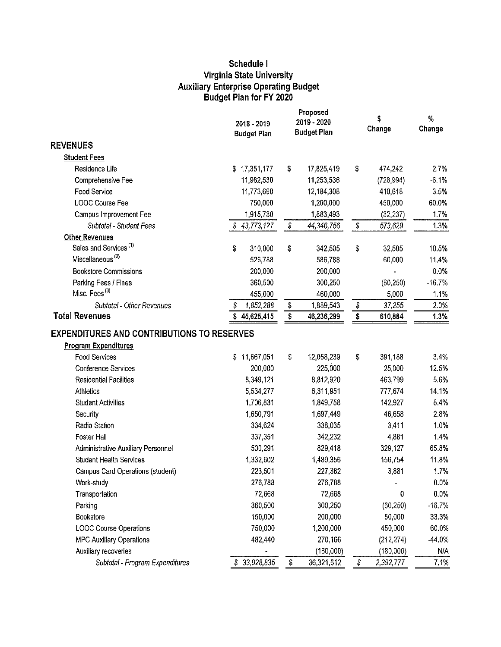## **Schedule I Virginia State University Auxiliary Enterprise Operating Budget Budget Plan for FY 2020**

|                                                                                  | 2018 - 2019<br><b>Budget Plan</b> | Proposed<br>2019 - 2020<br><b>Budget Plan</b> |            |    |            | \$<br>Change |  |  | $\%$<br>Change |
|----------------------------------------------------------------------------------|-----------------------------------|-----------------------------------------------|------------|----|------------|--------------|--|--|----------------|
| <b>REVENUES</b>                                                                  |                                   |                                               |            |    |            |              |  |  |                |
| <b>Student Fees</b>                                                              |                                   |                                               |            |    |            |              |  |  |                |
| Residence Life                                                                   | 17,351,177<br>\$                  | \$                                            | 17,825,419 | \$ | 474,242    | 2.7%         |  |  |                |
| Comprehensive Fee                                                                | 11,982,530                        |                                               | 11,253,536 |    | (728, 994) | $-6.1%$      |  |  |                |
| Food Service                                                                     | 11,773,690                        |                                               | 12,184,308 |    | 410,618    | 3.5%         |  |  |                |
| <b>LOOC Course Fee</b>                                                           | 750,000                           |                                               | 1,200,000  |    | 450,000    | 60.0%        |  |  |                |
| Campus Improvement Fee                                                           | 1,915,730                         |                                               | 1,883,493  |    | (32, 237)  | $-1.7%$      |  |  |                |
| Subtotal - Student Fees                                                          | \$43,773,127                      | S                                             | 44,346,756 | \$ | 573,629    | 1.3%         |  |  |                |
| <b>Other Revenues</b>                                                            |                                   |                                               |            |    |            |              |  |  |                |
| Sales and Services <sup>(1)</sup>                                                | S<br>310,000                      | \$                                            | 342,505    | \$ | 32,505     | 10.5%        |  |  |                |
| Miscellaneous <sup>(2)</sup>                                                     | 526,788                           |                                               | 586,788    |    | 60,000     | 11.4%        |  |  |                |
| <b>Bookstore Commissions</b>                                                     | 200,000                           |                                               | 200,000    |    |            | 0.0%         |  |  |                |
| Parking Fees / Fines                                                             | 360,500                           |                                               | 300,250    |    | (60, 250)  | $-16.7%$     |  |  |                |
| Misc. Fees <sup>(3)</sup>                                                        | 455,000                           |                                               | 460,000    |    | 5,000      | 1.1%         |  |  |                |
| <b>Subtotal - Other Revenues</b>                                                 | 1,852,288                         | $\sqrt{2}$                                    | 1,889,543  | \$ | 37,255     | 2.0%         |  |  |                |
| <b>Total Revenues</b>                                                            | 45,625,415                        | \$                                            | 46,236,299 | \$ | 610,884    | 1.3%         |  |  |                |
| <b>EXPENDITURES AND CONTRIBUTIONS TO RESERVES</b><br><b>Program Expenditures</b> |                                   |                                               |            |    |            |              |  |  |                |
| <b>Food Services</b>                                                             | 11,667,051<br>\$.                 | s                                             | 12,058,239 | \$ | 391,188    | 3.4%         |  |  |                |
| <b>Conference Services</b>                                                       | 200,000                           |                                               | 225,000    |    | 25,000     | 12.5%        |  |  |                |
| <b>Residential Facilities</b>                                                    | 8,349,121                         |                                               | 8,812,920  |    | 463,799    | 5.6%         |  |  |                |
| Athletics                                                                        | 5,534,277                         |                                               | 6,311,951  |    | 777,674    | 14.1%        |  |  |                |
| <b>Student Activities</b>                                                        | 1,706,831                         |                                               | 1,849,758  |    | 142,927    | 8.4%         |  |  |                |
| Security                                                                         | 1,650,791                         |                                               | 1,697,449  |    | 46,658     | 2.8%         |  |  |                |
| Radio Station                                                                    | 334,624                           |                                               | 338,035    |    | 3,411      | 1.0%         |  |  |                |
| Foster Hall                                                                      | 337,351                           |                                               | 342,232    |    | 4,881      | 1.4%         |  |  |                |
| Administrative Auxiliary Personnel                                               | 500,291                           |                                               | 829,418    |    | 329,127    | 65.8%        |  |  |                |
| <b>Student Health Services</b>                                                   | 1,332,602                         |                                               | 1,489,356  |    | 156,754    | 11.8%        |  |  |                |
| Campus Card Operations (student)                                                 | 223,501                           |                                               | 227,382    |    | 3,881      | 1.7%         |  |  |                |
| Work-study                                                                       | 276,788                           |                                               | 276,788    |    |            | 0.0%         |  |  |                |
| Transportation                                                                   | 72,668                            |                                               | 72,668     |    | 0          | 0.0%         |  |  |                |
| Parking                                                                          | 360,500                           |                                               | 300,250    |    | (60, 250)  | $-16.7%$     |  |  |                |
| Bookstore                                                                        | 150,000                           |                                               | 200,000    |    | 50,000     | 33.3%        |  |  |                |
| <b>LOOC Course Operations</b>                                                    | 750,000                           |                                               | 1,200,000  |    | 450,000    | 60.0%        |  |  |                |
| MPC Auxiliary Operations                                                         | 482,440                           |                                               | 270,166    |    | (212, 274) | $-44.0%$     |  |  |                |
| Auxiliary recoveries                                                             |                                   |                                               | (180,000)  |    | (180,000)  | <b>N/A</b>   |  |  |                |
| Subtotal - Program Expenditures                                                  | \$33,928,835                      | \$                                            | 36,321,612 | \$ | 2,392,777  | 7.1%         |  |  |                |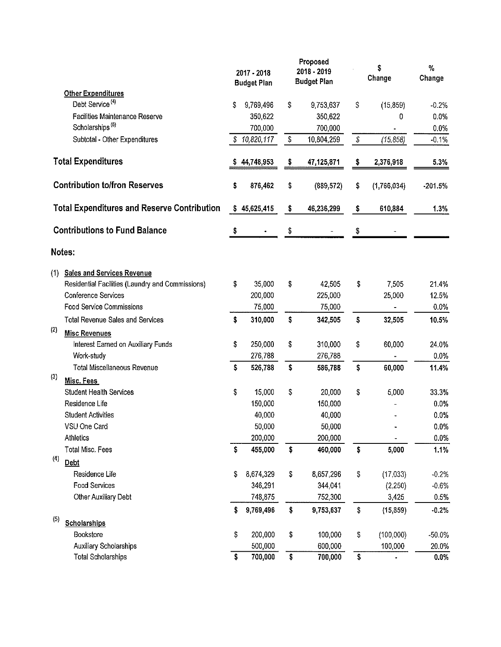|     |                                                               |    |                    |    | Proposed           |    | \$                       | $\%$      |  |
|-----|---------------------------------------------------------------|----|--------------------|----|--------------------|----|--------------------------|-----------|--|
|     |                                                               |    | 2017 - 2018        |    | 2018 - 2019        |    | Change                   | Change    |  |
|     |                                                               |    | <b>Budget Plan</b> |    | <b>Budget Plan</b> |    |                          |           |  |
|     | <b>Other Expenditures</b><br>Debt Service <sup>(4)</sup>      |    |                    |    |                    |    |                          |           |  |
|     |                                                               | \$ | 9,769,496          | \$ | 9,753,637          | \$ | (15, 859)                | $-0.2%$   |  |
|     | Facilities Maintenance Reserve<br>Scholarships <sup>(5)</sup> |    | 350,622            |    | 350,622            |    | 0                        | 0.0%      |  |
|     |                                                               |    | 700,000            |    | 700,000            |    |                          | 0.0%      |  |
|     | Subtotal - Other Expenditures                                 |    | \$10,820,117       | \$ | 10,804,259         | \$ | (15, 858)                | $-0.1%$   |  |
|     | <b>Total Expenditures</b>                                     |    | \$44,748,953       | \$ | 47,125,871         | Ş. | 2,376,918                | 5.3%      |  |
|     | <b>Contribution to/fron Reserves</b>                          | \$ | 876,462            | \$ | (889, 572)         | \$ | (1,766,034)              | $-201.5%$ |  |
|     | <b>Total Expenditures and Reserve Contribution</b>            |    | \$45,625,415       | \$ | 46,236,299         | \$ | 610,884                  | 1.3%      |  |
|     | <b>Contributions to Fund Balance</b>                          | \$ |                    | \$ |                    | \$ |                          |           |  |
|     | Notes:                                                        |    |                    |    |                    |    |                          |           |  |
| (1) | <b>Sales and Services Revenue</b>                             |    |                    |    |                    |    |                          |           |  |
|     | Residential Facilities (Laundry and Commissions)              | \$ | 35,000             | \$ | 42,505             | \$ | 7,505                    | 21.4%     |  |
|     | <b>Conference Services</b>                                    |    | 200,000            |    | 225,000            |    | 25,000                   | 12.5%     |  |
|     | <b>Food Service Commissions</b>                               |    | 75,000             |    | 75,000             |    | $\overline{\phantom{a}}$ | 0.0%      |  |
|     | <b>Total Revenue Sales and Services</b>                       | \$ | 310,000            | \$ | 342,505            | \$ | 32,505                   | 10.5%     |  |
| (2) | <b>Misc Revenues</b>                                          |    |                    |    |                    |    |                          |           |  |
|     | Interest Earned on Auxiliary Funds                            | \$ | 250,000            | S  | 310,000            | \$ | 60,000                   | 24.0%     |  |
|     | Work-study                                                    |    | 276,788            |    | 276,788            |    |                          | 0.0%      |  |
|     | <b>Total Miscellaneous Revenue</b>                            | \$ | 526,788            | \$ | 586,788            | \$ | 60,000                   | 11.4%     |  |
| (3) | Misc. Fees                                                    |    |                    |    |                    |    |                          |           |  |
|     | <b>Student Health Services</b>                                | \$ | 15,000             | \$ | 20,000             | \$ | 5,000                    | 33.3%     |  |
|     | Residence Life                                                |    | 150,000            |    | 150,000            |    |                          | 0.0%      |  |
|     | <b>Student Activities</b>                                     |    | 40,000             |    | 40,000             |    |                          | 0.0%      |  |
|     | VSU One Card                                                  |    | 50,000             |    | 50,000             |    |                          | 0.0%      |  |
|     | Athletics                                                     |    | 200,000            |    | 200,000            |    |                          | 0.0%      |  |
|     | <b>Total Misc. Fees</b>                                       | \$ | 455,000            | \$ | 460,000            | \$ | 5,000                    | 1.1%      |  |
| (4) | Debt                                                          |    |                    |    |                    |    |                          |           |  |
|     | Residence Life                                                | \$ | 8,674,329          | \$ | 8,657,296          | \$ | (17, 033)                | $-0.2%$   |  |
|     | <b>Food Services</b>                                          |    | 346,291            |    | 344,041            |    | (2,250)                  | $-0.6%$   |  |
|     | Other Auxiliary Debt                                          |    | 748,875            |    | 752,300            |    | 3,425                    | 0.5%      |  |
|     |                                                               | S  | 9.769,496          | \$ | 9,753,637          | \$ | (15, 859)                | $-0.2%$   |  |
| (5) | Scholarships                                                  |    |                    |    |                    |    |                          |           |  |
|     | Bookstore                                                     | \$ | 200,000            | \$ | 100,000            | S  | (100,000)                | $-50.0\%$ |  |
|     | Auxiliary Scholarships                                        |    | 500,000            |    | 600,000            |    | 100,000                  | 20.0%     |  |
|     | <b>Total Scholarships</b>                                     | \$ | 700,000            | \$ | 700,000            | \$ |                          | 0.0%      |  |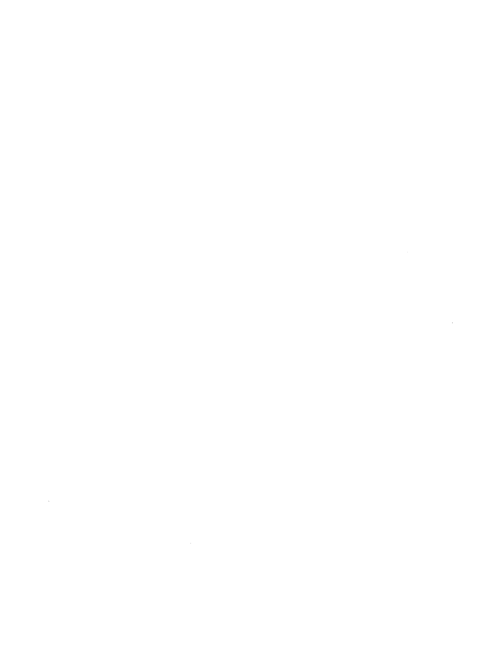$\label{eq:2.1} \frac{1}{\sqrt{2}}\left(\frac{1}{\sqrt{2}}\right)^{2} \left(\frac{1}{\sqrt{2}}\right)^{2} \left(\frac{1}{\sqrt{2}}\right)^{2} \left(\frac{1}{\sqrt{2}}\right)^{2} \left(\frac{1}{\sqrt{2}}\right)^{2} \left(\frac{1}{\sqrt{2}}\right)^{2} \left(\frac{1}{\sqrt{2}}\right)^{2} \left(\frac{1}{\sqrt{2}}\right)^{2} \left(\frac{1}{\sqrt{2}}\right)^{2} \left(\frac{1}{\sqrt{2}}\right)^{2} \left(\frac{1}{\sqrt{2}}\right)^{2} \left(\$  $\label{eq:2.1} \frac{1}{\sqrt{2}}\int_{\mathbb{R}^3}\frac{1}{\sqrt{2}}\left(\frac{1}{\sqrt{2}}\right)^2\frac{1}{\sqrt{2}}\left(\frac{1}{\sqrt{2}}\right)^2\frac{1}{\sqrt{2}}\left(\frac{1}{\sqrt{2}}\right)^2.$ 

 $\label{eq:2.1} \frac{1}{\sqrt{2}}\int_{\mathbb{R}^3}\frac{1}{\sqrt{2}}\left(\frac{1}{\sqrt{2}}\right)^2\frac{1}{\sqrt{2}}\left(\frac{1}{\sqrt{2}}\right)^2\frac{1}{\sqrt{2}}\left(\frac{1}{\sqrt{2}}\right)^2.$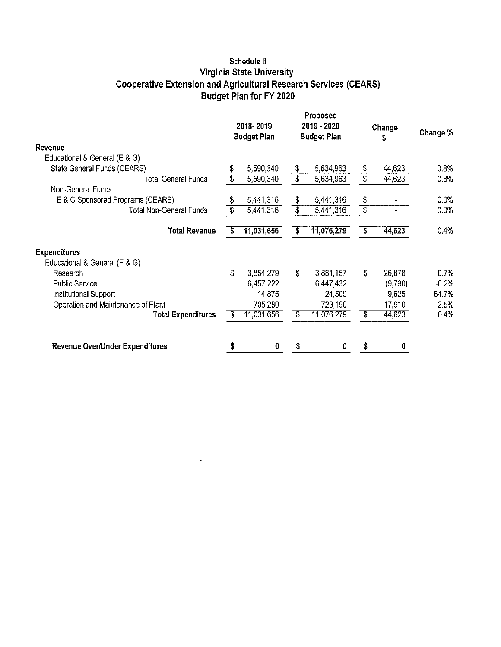## **Schedule II Virginia State University Cooperative Extension and Agricultural Research Services (CEARS) Budget Plan for FY 2020**

|                                        | 2018-2019<br><b>Budget Plan</b> |            | Proposed<br>2019 - 2020<br><b>Budget Plan</b> |            | Change<br>S     |         | Change % |  |
|----------------------------------------|---------------------------------|------------|-----------------------------------------------|------------|-----------------|---------|----------|--|
| Revenue                                |                                 |            |                                               |            |                 |         |          |  |
| Educational & General (E & G)          |                                 |            |                                               |            |                 |         |          |  |
| State General Funds (CEARS)            |                                 | 5,590,340  | \$                                            | 5,634,963  | \$              | 44,623  | 0.8%     |  |
| <b>Total General Funds</b>             | $\overline{\$}$                 | 5,590,340  | $\overline{\mathfrak{s}}$                     | 5,634,963  | $\overline{\$}$ | 44,623  | 0.8%     |  |
| Non-General Funds                      |                                 |            |                                               |            |                 |         |          |  |
| E & G Sponsored Programs (CEARS)       | \$                              | 5,441,316  | \$                                            | 5,441,316  | \$              |         | 0.0%     |  |
| <b>Total Non-General Funds</b>         | \$                              | 5,441,316  | $\overline{\mathbb{S}}$                       | 5,441,316  | $\overline{\$}$ |         | 0.0%     |  |
| <b>Total Revenue</b>                   | 5                               | 11,031,656 | \$                                            | 11,076,279 |                 | 44,623  | 0.4%     |  |
| <b>Expenditures</b>                    |                                 |            |                                               |            |                 |         |          |  |
| Educational & General (E & G)          |                                 |            |                                               |            |                 |         |          |  |
| Research                               | \$                              | 3,854,279  | \$                                            | 3,881,157  | \$              | 26,878  | 0.7%     |  |
| <b>Public Service</b>                  |                                 | 6,457,222  |                                               | 6,447,432  |                 | (9,790) | $-0.2%$  |  |
| Institutional Support                  |                                 | 14.875     |                                               | 24,500     |                 | 9,625   | 64.7%    |  |
| Operation and Maintenance of Plant     |                                 | 705,280    |                                               | 723,190    |                 | 17,910  | 2.5%     |  |
| <b>Total Expenditures</b>              | S                               | 11,031,656 | $\overline{\mathbf{S}}$                       | 11,076,279 | \$              | 44,623  | 0.4%     |  |
| <b>Revenue Over/Under Expenditures</b> |                                 | 0          |                                               | 0          | 5               |         |          |  |

 $\ddot{\phantom{a}}$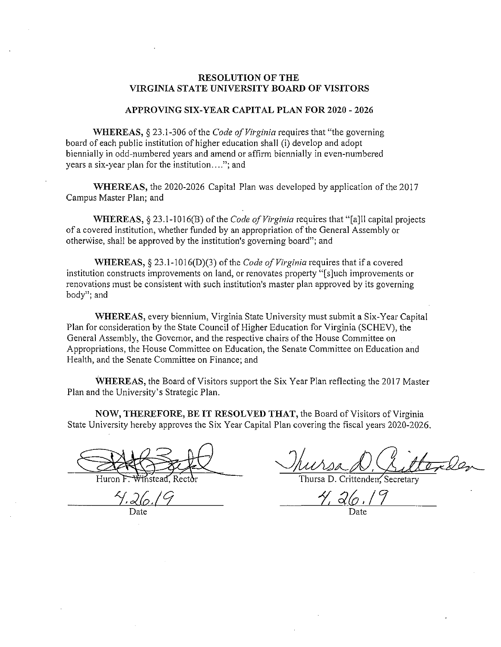#### **RESOLUTION OF THE VIRGINIA STATE UNIVERSITY BOARD OF VISITORS**

#### **APPROVING SIX-YEAR CAPITAL PLAN FOR 2020-2026**

**WHEREAS, § 23.1-306 of the** *Code of Virginia* **requires that "the governing"** board of each public institution of higher education shall (i) develop and adopt biennially in odd-numbered years and amend or affirm biennially in even-numbered years a six-year plan for the institution .... "; and

**WHEREAS,** the 2020-2026 Capital Plan was developed by application of the 2017 Campus Master Plan; and

**WHEREAS,§** 23.1-1016(B) of the *Code of Virginia* requires that "[a]ll capital projects of a covered institution, whether funded by an appropriation of the General Assembly or otherwise, shall be approved by the institution's governing board"; and

**WHEREAS, § 23.1-1016(D)(3) of the** *Code of Virginia* **requires that if a covered** institution constructs improvements on land, or renovates property "[s]uch improvements or renovations must be consistent with such institution's master plan approved by its governing body"; and

**WHEREAS,** every biennium, Virginia State University must submit a Six-Year Capital Plan for consideration by the State Council of Higher Education for Virginia (SCHEY), the General Assembly, the Governor, and the respective chairs of the House Committee on Appropriations, the House Committee on Education, the Senate Committee on Education and Health, and the Senate Committee on Finance; and

**WHEREAS,** the Board of Visitors support the Six Year Plan reflecting the 2017 Master Plan and the University's Strategic Plan.

**NOW, THEREFORE, BE IT RESOLVED THAT,** the Board of Visitors of Virginia State University hereby approves the Six Year Capital Plan covering the fiscal years 2020-2026.

Huron

Date **Date** Date **Date** 

Thursa D. Crittenden, Secretary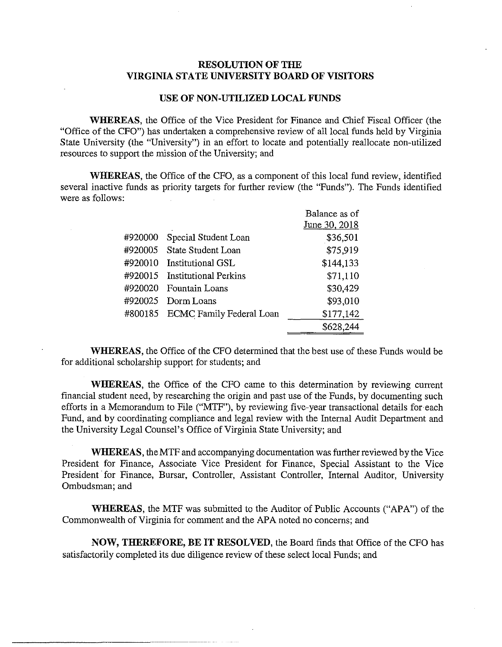## **RESOLUTION OF THE VIRGINIA STATE UNIVERSITY BOARD OF VISITORS**

#### **USE OF NON-UTILIZED LOCAL FUNDS**

**WHEREAS,** the Office of the Vice President for Finance and Chief Fiscal Officer (the "Office of the CPO") has undertaken a comprehensive review of all local funds held by Virginia State University (the "University") in an effort to locate and potentially reallocate non-utilized resources to support the mission of the University; and

**WHEREAS,** the Office of the CPO, as a component of this local fund review, identified several inactive funds as priority targets for further review (the "Funds"). The Funds identified were as follows:

|         |                                 | Balance as of |
|---------|---------------------------------|---------------|
|         |                                 | June 30, 2018 |
| #920000 | Special Student Loan            | \$36,501      |
| #920005 | State Student Loan              | \$75,919      |
| #920010 | Institutional GSL               | \$144,133     |
| #920015 | <b>Institutional Perkins</b>    | \$71,110      |
| #920020 | Fountain Loans                  | \$30,429      |
| #920025 | Dorm Loans                      | \$93,010      |
| #800185 | <b>ECMC</b> Family Federal Loan | \$177,142     |
|         |                                 | \$628,244     |

**WHEREAS,** the Office of the CPO determined that the best use of these Funds would be for additional scholarship support for students; and

**WHEREAS,** the Office of the CPO came to this determination by reviewing current financial student need, by researching the origin and past use of the Funds, by documenting such efforts in a Memorandum to File ("MTF"), by reviewing five-year transactional details for each Fund, and by coordinating compliance and legal review with the Internal Audit Department and the University Legal Counsel's Office of Virginia State University; and

**WHEREAS,** the MTF and accompanying documentation was further reviewed by the Vice President for Finance, Associate Vice President for Finance, Special Assistant to the Vice President for Finance, Bursar, Controller, Assistant Controller, Internal Auditor, University Ombudsman; and

**WHEREAS,** the MTF was submitted to the Auditor of Public Accounts ("APA") of the Commonwealth of Virginia for comment and the APA noted no concerns; and

**NOW, THEREFORE, BE IT RESOLVED,** the Board finds that Office of the CPO has satisfactorily completed its due diligence review of these select local Funds; and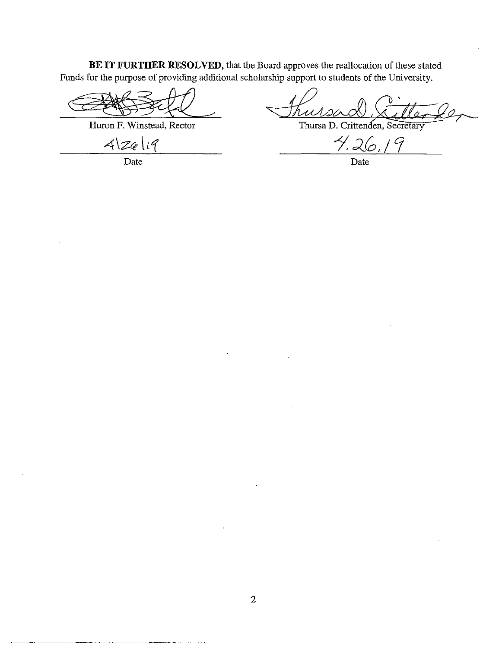BE IT FURTHER RESOLVED, that the Board approves the reallocation of these stated Funds for the purpose of providing additional scholarship support to students of the University.

Huron F. Winstead, Rector

 $4|z_{0}|_{1}9$ 

Date

 $\overline{\cal U}$ 

Thursa D. Crittenden, Secretary

4. 2( G

Date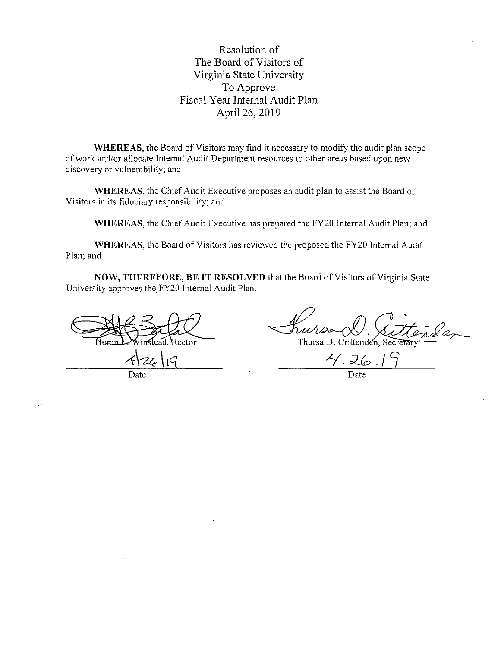Resolution of The Board of Visitors of Virginia State University To Approve Fiscal Year Internal Audit Plan April26, 2019

**WHEREAS,** the Board of Visitors may find it necessary to modify the audit plan scope of work and/or allocate Internal Audit Depatiment resources to other areas based upon new discovery or vulnerability; and

**WHEREAS,** the Chief Audit Executive proposes an audit plan to assist the Board of Visitors in its fiduciary responsibility; and

**WHEREAS,** the Chief Audit Executive has prepared the FY20 Internal Audit Plan; and

**WHEREAS,** the Board of Visitors has reviewed the proposed the FY20 Internal Audit Plan; and

**NOW, THEREFORE, BE IT RESOLVED** that the Board of Visitors of Virginia State University approves the FY20 Internal Audit Plan.

**WHEREAS, the Board of Visitors has reviewed the proposed the FY20<br>
lan; and<br>
<b>NOW, THEREFORE, BE IT RESOLVED** that the Board of Visitors<br>
Jniversity approves the FY20 Internal Audit Plan.<br> **ALLACTION**<br> **ALLACTION**<br> **ALLA** 

Date Date Date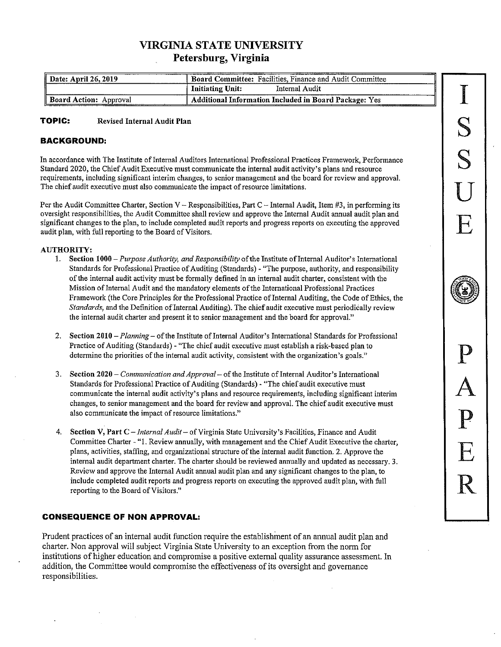## **VIRGINIA STATE UNIVERSITY Petersburg, Virginia**

| Date: April 26, 2019   | Board Committee: Facilities, Finance and Audit Committee |  |  |
|------------------------|----------------------------------------------------------|--|--|
|                        | Internal Audit<br><b>Initiating Unit:</b>                |  |  |
| Board Action: Approval | Additional Information Included in Board Package: Yes    |  |  |

#### **TOPIC:** Revised Internal Audit Plan

#### **BACKGROUND:**

In accordance with The Institute of Internal Auditors International Professional Practices Framework, Performance **Standard 2020, the Chief Audit Executive must communicate the internal audit activity's plans and resource requirements, including significant interim changes, to senior management and the board for review and approval. The chief audit executive must also communicate the impact of resource limitations.** 

Per the Audit Committee Charter, Section  $V -$  Responsibilities, Part  $C -$ Internal Audit, Item #3, in performing its **oversight responsibilities, the Audit Committee shall review and approve the Internal Audit annual audit plan and significant changes to the plan, to include completed audit reports and progress reports on executing the approved**  audit plan, with full reporting to the Board of Visitors.

#### AUTHORITY:

- 1. Section 1000- *Pwpose Authority, and Responsibility* of the Institute ofintemal Auditor's International Standards for Professional Practice of Auditing (Standards)- "The purpose, authority, and responsibility **of the internal audit activity must be formally defined in an internal audit charter, consistent with the Mission oflnternal Audit and the mandatory elements of the International Professional Practices**  Framework (the Core Principles for the Professional Practice of Internal Auditing, the Code of Ethics, the *Standards*, and the Definition of Internal Auditing). The chief audit executive must periodically review **the internal audit charter and present it to senior management and the board for approval."**
- 2. Section 2010 *Planning* of the Institute of Internal Auditor's International Standards for Professional Practice of Auditing (Standards)- "The chief audit executive must establish a risk-based plan to **determine the priorities of the internal audit activity, consistent with the organization's goals."**
- 3. Section 2020- *Communication and Approval-* of the Institute ofinternal Auditor's International Standards for Professional Practice of Auditing (Standards)- "The chief audit executive must **communicate the internal audit activity's plans and resource requirements, including significant interim changes, to senior management and the board for review and approval. The chief audit executive must also communicate the impact of resource limitations."**
- **4. Section V, Part C** *-internal Audit-* **of Virginia State University's Facilities, Finance and Audit Committee Charter- "1. Review annually, with management and the Chief Audit Executive the charter, plans, activities, staffing, and organizational structure of the internal audit function. 2. Approve the**  internal audit department charter. The charter should be reviewed annually and updated as necessary. 3. **Review and approve the Internal Audit annual audit plan and any significant changes to the plan, to**  include completed audit reports and progress reports on executing the approved audit plan, with full reporting to the Board of Visitors."

#### **CONSEQUENCE OF NON APPROVAL:**

Prudent practices of an internal audit function require the establishment of an annual audit plan and charter. Non approval will subject Virginia State University to an exception from the norm for institutions of higher education and compromise a positive external quality assurance assessment. In addition, the Committee would compromise the effectiveness of its oversight and governance responsibilities.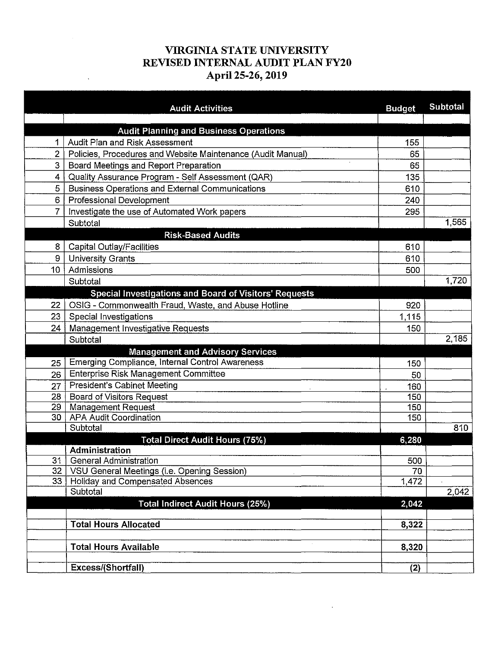## VIRGINIA STATE UNIVERSITY REVISED INTERNAL AUDIT PLAN FY20 April25-26, 2019

|                | <b>VIRGINIA STATE UNIVERSITY</b><br><b>REVISED INTERNAL AUDIT PLAN FY20</b><br>April 25-26, 2019 |               |                    |
|----------------|--------------------------------------------------------------------------------------------------|---------------|--------------------|
|                |                                                                                                  |               |                    |
|                |                                                                                                  |               |                    |
|                |                                                                                                  |               |                    |
|                |                                                                                                  |               |                    |
|                |                                                                                                  |               |                    |
|                | <b>Audit Activities</b>                                                                          | <b>Budget</b> | Subtotal           |
|                |                                                                                                  |               |                    |
|                | <b>Audit Planning and Business Operations</b>                                                    |               |                    |
|                | <b>Audit Plan and Risk Assessment</b>                                                            | 155           |                    |
| $\overline{2}$ | Policies, Procedures and Website Maintenance (Audit Manual)                                      | 65            |                    |
| 3              | Board Meetings and Report Preparation                                                            | 65            |                    |
| 4              | Quality Assurance Program - Self Assessment (QAR)                                                | 135           |                    |
| 5              | <b>Business Operations and External Communications</b>                                           | 610           |                    |
| 6              | Professional Development                                                                         | 240           |                    |
| $\overline{7}$ | Investigate the use of Automated Work papers                                                     | 295           | 1,565              |
|                | Subtotal<br><b>Risk-Based Audits</b>                                                             |               |                    |
| 8              | Capital Outlay/Facilities                                                                        | 610           |                    |
| 9              | <b>University Grants</b>                                                                         | 610           |                    |
| $10-10$        | Admissions                                                                                       | 500           |                    |
|                | Subtotal                                                                                         |               | $\overline{1,}720$ |
|                | Special Investigations and Board of Visitors' Requests                                           |               |                    |
| 22             | OSIG - Commonwealth Fraud, Waste, and Abuse Hotline                                              | 920           |                    |
| 23             | Special Investigations                                                                           | 1,115         |                    |
| 24             | Management Investigative Requests                                                                | 150           |                    |
|                | Subtotal                                                                                         |               | 2,185              |
|                | <b>Management and Advisory Services</b>                                                          |               |                    |
| 25             | Emerging Compliance, Internal Control Awareness                                                  | 150           |                    |
| 26             | <b>Enterprise Risk Management Committee</b>                                                      | 50            |                    |
| 27<br>28       | <b>President's Cabinet Meeting</b><br><b>Board of Visitors Request</b>                           | 160<br>150    |                    |
| 29             | <b>Management Request</b>                                                                        | 150           |                    |
| 30             | <b>APA Audit Coordination</b>                                                                    | 150           |                    |
|                | Subtotal                                                                                         |               | 810                |
|                | <b>Total Direct Audit Hours (75%)</b>                                                            | 6,280         |                    |
|                | Administration                                                                                   |               |                    |
| 31<br>32       | <b>General Administration</b><br>VSU General Meetings (i.e. Opening Session)                     | 500<br>70     |                    |
|                | 33   Holiday and Compensated Absences                                                            | 1,472         |                    |
|                | Subtotal                                                                                         |               | 2,042              |
|                | <b>Total Indirect Audit Hours (25%)</b>                                                          | 2,042         |                    |
|                |                                                                                                  |               |                    |
|                | <b>Total Hours Allocated</b>                                                                     | 8,322         |                    |
|                |                                                                                                  |               |                    |
|                | <b>Total Hours Available</b>                                                                     | 8,320         |                    |
|                | Excess/(Shortfall)                                                                               | (2)           |                    |
|                |                                                                                                  |               |                    |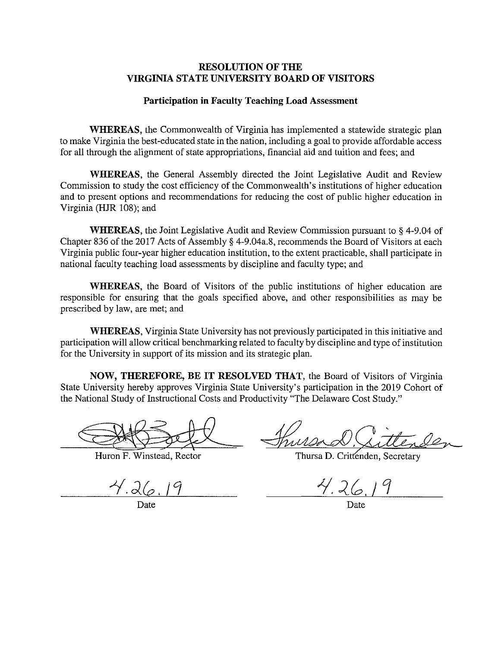### **RESOLUTION OF THE VIRGINIA STATE UNIVERSITY BOARD OF VISITORS**

## **Participation in Faculty Teaching Load Assessment**

**WHEREAS,** the Commonwealth of Virginia has implemented a statewide strategic plan to make Virginia the best-educated state in the nation, including a goal to provide affordable access for all through the alignment of state appropriations, financial aid and tuition and fees; and

**WHEREAS,** the General Assembly directed the Joint Legislative Audit and Review Commission to study the cost efficiency of the Commonwealth's institutions of higher education and to present options and recommendations for reducing the cost of public higher education in Virginia (HJR 108); and

**WHEREAS,** the Joint Legislative Audit and Review Commission pursuant to§ 4-9.04 of Chapter 836 of the 2017 Acts of Assembly§ 4-9.04a.8, recommends the Board of Visitors at each Virginia public four-year higher education institution, to the extent practicable, shall participate in national faculty teaching load assessments by discipline and faculty type; and

**WHEREAS,** the Board of Visitors of the public institutions of higher education are responsible for ensuring that the goals specified above, and other responsibilities as may be prescribed by law, are met; and

**WHEREAS,** Virginia State University has not previously participated in this initiative and participation will allow critical benchmarking related to faculty by discipline and type of institution for the University in support of its mission and its strategic plan.

**NOW, THEREFORE, BE IT RESOLVED THAT,** the Board of Visitors of Virginia State University hereby approves Virginia State University's participation in the 2019 Cohort of the National Study of Instructional Costs and Productivity "The Delaware Cost Study."

Holden for thursday Crittenden

 $4.26.1$ 

Date Date Date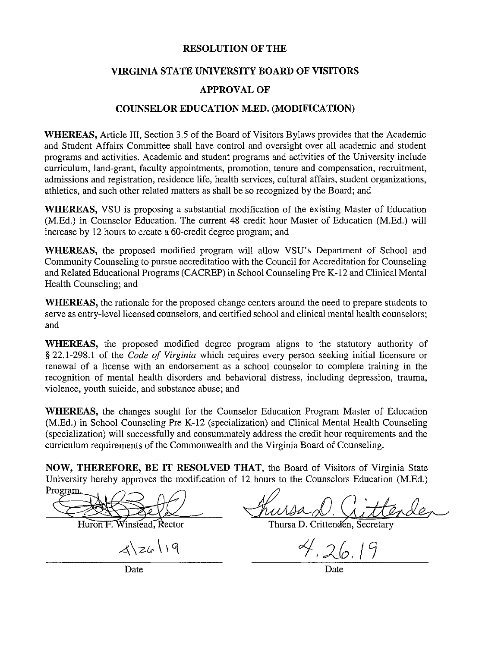## **VIRGINIA STATE UNIVERSITY BOARD OF VISITORS**

#### **APPROVAL OF**

#### **COUNSELOR EDUCATION M.ED. (MODIFICATION)**

**WHEREAS,** Article III, Section 3.5 of the Board of Visitors Bylaws provides that the Academic and Student Affairs Committee shall have control and oversight over all academic and student programs and activities. Academic and student programs and activities of the University include curriculum, land-grant, faculty appointments, promotion, tenure and compensation, recruitment, admissions and registration, residence life, health services, cultural affairs, student organizations, athletics, and such other related matters as shall be so recognized by the Board; and

**WHEREAS,** VSU is proposing a substantial modification of the existing Master of Education (M.Ed.) in Counselor Education. The current 48 credit hour Master of Education (M.Ed.) will increase by 12 hours to create a 60-credit degree program; and

**WHEREAS,** the proposed modified program will allow VSU's Department of School and Community Counseling to pursue accreditation with the Council for Accreditation for Counseling and Related Educational Programs (CACREP) in School Counseling Pre K -12 and Clinical Mental Health Counseling; and

**WHEREAS,** the rationale for the proposed change centers around the need to prepare students to serve as entry-level licensed counselors, and certified school and clinical mental health counselors; and

**WHEREAS,** the proposed modified degree program aligns to the statutory authority of § 22.1-298.1 of the *Code of Virginia* which requires every person seeking initial licensure or renewal of a license with an endorsement as a school counselor to complete training in the recognition of mental health disorders and behavioral distress, including depression, trauma, violence, youth suicide, and substance abuse; and

**WHEREAS,** the changes sought for the Counselor Education Program Master of Education (M.Ed.) in School Counseling Pre K-12 (specialization) and Clinical Mental Health Counseling (specialization) will successfully and consummately address the credit hour requirements and the curriculum requirements of the Commonwealth and the Virginia Board of Counseling.

**NOW, THEREFORE, BE IT RESOLVED THAT,** the Board of Visitors of Virginia State University hereby approves the modification of 12 hours to the Counselors Education (M.Ed.)

Program<br>Huron F. Winstead, Rector Thursa D. Critten

 $4|z6|19$ 

unsa D. Gittender

 $4.26.19$ 

Date Date Date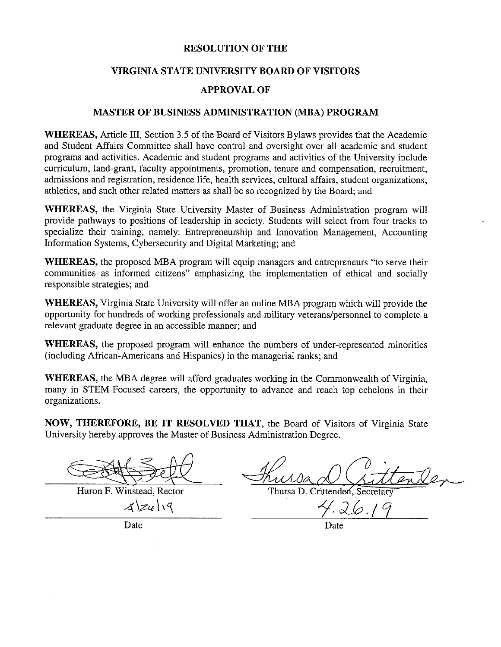## **VIRGINIA STATE UNIVERSITY BOARD OF VISITORS**

#### **APPROVAL OF**

#### **MASTER OF BUSINESS ADMINISTRATION (MBA) PROGRAM**

**WHEREAS,** Article III, Section 3.5 of the Board of Visitors Bylaws provides that the Academic and Student Affairs Committee shall have control and oversight over all academic and student programs and activities. Academic and student programs and activities of the University include curriculum, land-grant, faculty appointments, promotion, tenure and compensation, recruitment, admissions and registration, residence life, health services, cultural affairs, student organizations, athletics, and such other related matters as shall be so recognized by the Board; and

**WHEREAS,** the Virginia State University Master of Business Administration program will provide pathways to positions of leadership in society. Students will select from four tracks to specialize their training, namely: Entrepreneurship and Innovation Management, Accounting Information Systems, Cybersecurity and Digital Marketing; and

**WHEREAS,** the proposed MBA program will equip managers and entrepreneurs "to serve their communities as informed citizens" emphasizing the implementation of ethical and socially responsible strategies; and

**WHEREAS,** Virginia State University will offer an online MBA program which will provide the opportunity for hundreds of working professionals and military veterans/personnel to complete a relevant graduate degree in an accessible manner; and

**WHEREAS,** the proposed program will enhance the numbers of under-represented minorities (including African-Americans and Hispanics) in the managerial ranks; and

**WHEREAS,** the MBA degree will afford graduates working in the Commonwealth of Virginia, many in STEM-Focused careers, the opportunity to advance and reach top echelons in their organizations.

**NOW, THEREFORE, BE IT RESOLVED THAT,** the Board of Visitors of Virginia State University hereby approves the Master of Business Administration Degree.

Hotel hunsa D. Crittender

*4\z"'* \ ''\ *'YJJo./9* 

Date Date Date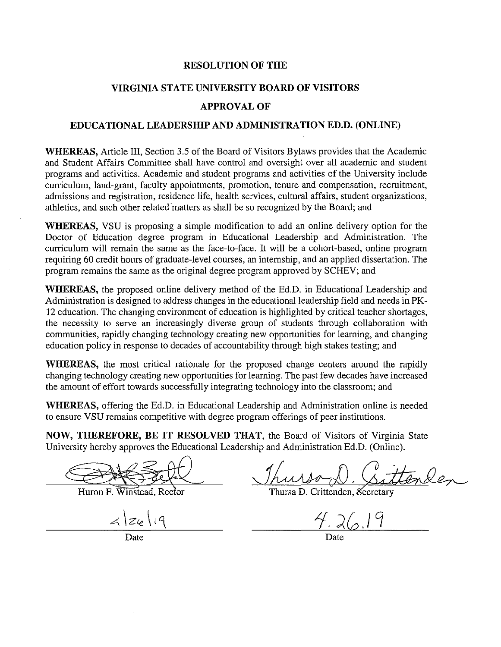#### **VIRGINIA STATE UNIVERSITY BOARD OF VISITORS**

#### **APPROVAL OF**

### **EDUCATIONAL LEADERSHIP AND ADMINISTRATION ED.D. (ONLINE)**

**WHEREAS,** Article III, Section 3.5 of the Board of Visitors Bylaws provides that the Academic and Student Affairs Committee shall have control and oversight over all academic and student programs and activities. Academic and student programs and activities of the University include curriculum, land-grant, faculty appointments, promotion, tenure and compensation, recruitment, admissions and registration, residence life, health services, cultural affairs, student organizations, athletics, and such other related matters as shall be so recognized by the Board; and

**WHEREAS,** VSU is proposing a simple modification to add an online delivery option for the Doctor of Education degree program in Educational Leadership and Administration. The curriculum will remain the same as the face-to-face. It will be a cohort-based, online program requiring 60 credit hours of graduate-level courses, an internship, and an applied dissertation. The program remains the same as the original degree program approved by SCHEY; and

**WHEREAS,** the proposed online delivery method of the Ed.D. in Educational Leadership and Administration is designed to address changes in the educational leadership field and needs in PK-12 education. The changing environment of education is highlighted by critical teacher shortages, the necessity to serve an increasingly diverse group of students through collaboration with communities, rapidly changing technology creating new opportunities for learning, and changing education policy in response to decades of accountability through high stakes testing; and

**WHEREAS,** the most critical rationale for the proposed change centers around the rapidly changing technology creating new opportunities for learning. The past few decades have increased the amount of effort towards successfully integrating technology into the classroom; and

**WHEREAS,** offering the Ed.D. in Educational Leadership and Administration online is needed to ensure VSU remains competitive with degree program offerings of peer institutions. EREAS, offering the Ed.D. in Educational Leadership and Administrative VSU remains competitive with degree program offerings of peer is<br>EREAS, offering the Ed.D. in Educational Leadership and Administrative VSU remains com

**NOW, THEREFORE, BE IT RESOLVED THAT,** the Board of Visitors of Virginia State University hereby approves the Educational Leadership and Administration Ed.D. (Online). **EAS,** offering the Ed.D. in Educational Leadership and Administration online is needed<br>
e VSU remains competitive with degree program offerings of peer institutions.<br> **THEREFORE, BE IT RESOLVED THAT**, the Board of Visito

Date Date Date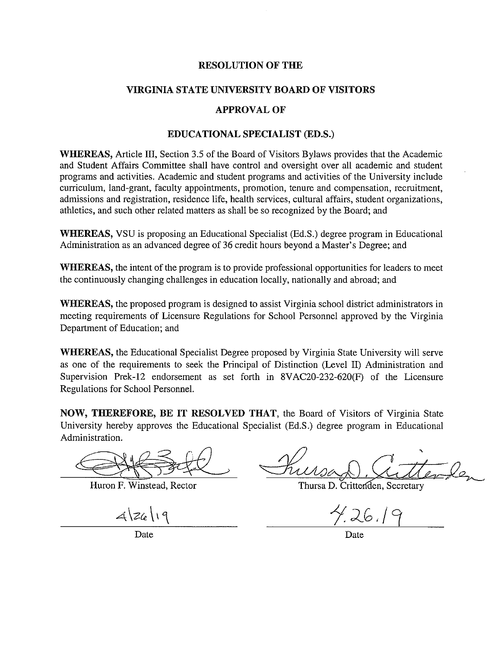#### **VIRGINIA STATE UNIVERSITY BOARD OF VISITORS**

#### **APPROVAL OF**

#### **EDUCATIONAL SPECIALIST (ED.S.)**

**WHEREAS,** Article III, Section 3.5 of the Board of Visitors Bylaws provides that the Academic and Student Affairs Committee shall have control and oversight over all academic and student programs and activities. Academic and student programs and activities of the University include curriculum, land-grant, faculty appointments, promotion, tenure and compensation, recruitment, admissions and registration, residence life, health services, cultural affairs, student organizations, athletics, and such other related matters as shall be so recognized by the Board; and

**WHEREAS,** VSU is proposing an Educational Specialist (Ed.S.) degree program in Educational Administration as an advanced degree of 36 credit hours beyond a Master's Degree; and

**WHEREAS,** the intent of the program is to provide professional opportunities for leaders to meet the continuously changing challenges in education locally, nationally and abroad; and

**WHEREAS,** the proposed program is designed to assist Virginia school district administrators in meeting requirements of Licensure Regulations for School Personnel approved by the Virginia Department of Education; and

**WHEREAS,** the Educational Specialist Degree proposed by Virginia State University will serve as one of the requirements to seek the Principal of Distinction (Level II) Administration and Supervision Prek-12 endorsement as set forth in 8VAC20-232-620(F) of the Licensure Regulations for School Personnel.

**NOW, THEREFORE, BE IT RESOLVED THAT,** the Board of Visitors of Virginia State University hereby approves the Educational Specialist (Ed.S.) degree program in Educational Administration.

Huron F. Winstead, Rector

 $4|z_{6}|$ 19

Thursa D. Crittenden, Secretary

 $7.26.19$ 

Date Date Date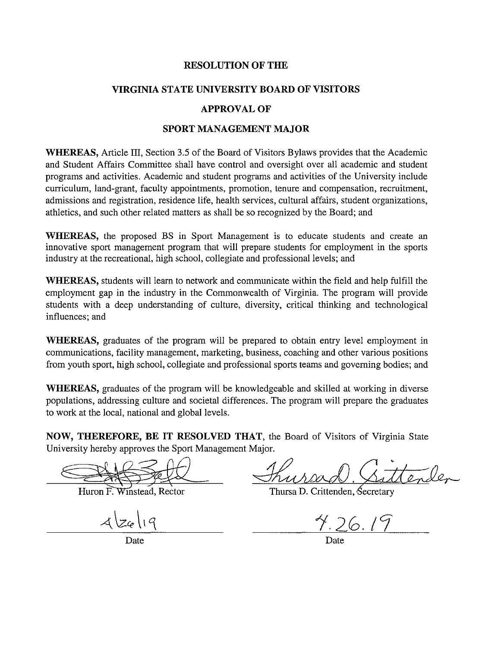## **VIRGINIA STATE UNIVERSITY BOARD OF VISITORS**

## **APPROVAL OF**

## **SPORT MANAGEMENT MAJOR**

**WHEREAS,** Article III, Section 3.5 of the Board of Visitors Bylaws provides that the Academic and Student Affairs Committee shall have control and oversight over all academic and student programs and activities. Academic and student programs and activities of the University include curriculum, land-grant, faculty appointments, promotion, tenure and compensation, recruitment, admissions and registration, residence life, health services, cultural affairs, student organizations, athletics, and such other related matters as shall be so recognized by the Board; and

**WHEREAS,** the proposed BS in Sport Management is to educate students and create an innovative sport management program that will prepare students for employment in the sports industry at the recreational, high school, collegiate and professional levels; and

**WHEREAS,** students will learn to network and communicate within the field and help fulfill the employment gap in the industry in the Commonwealth of Virginia. The program will provide students with a deep understanding of culture, diversity, critical thinking and technological influences; and

**WHEREAS,** graduates of the program will be prepared to obtain entry level employment in communications, facility management, marketing, business, coaching and other various positions from youth sport, high school, collegiate and professional sports teams and governing bodies; and

**WHEREAS,** graduates of the program will be knowledgeable and skilled at working in diverse populations, addressing culture and societal differences. The program will prepare the graduates to work at the local, national and global levels. **IEREAS,** graduates of the program will be knowledgeable and skilled at vulations, addressing culture and societal differences. The program will prevork at the local, national and global levels.<br> **W, THEREFORE, BE IT RESO** 

**NOW, THEREFORE, BE IT RESOLVED THAT,** the Board of Visitors of Virginia State University hereby approves the Sport Management Major.

*1.20.11* 

Date Date Date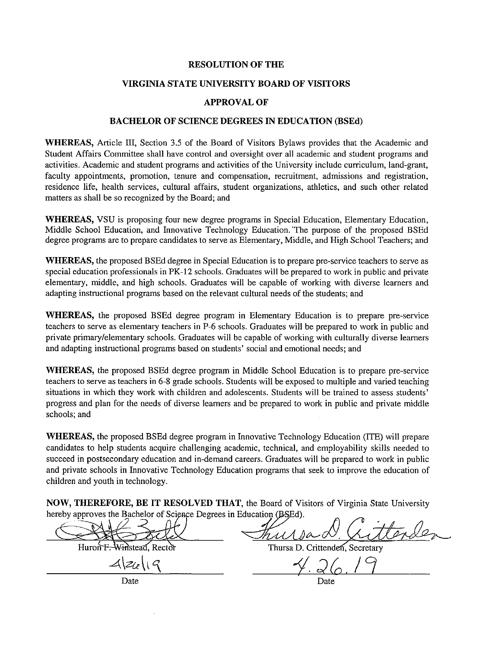#### **VIRGINIA STATE UNIVERSITY BOARD OF VISITORS**

#### **APPROVAL OF**

#### **BACHELOR OF** SCIENCE **DEGREES IN EDUCATION (BSEd)**

**WHEREAS,** Article III, Section 3.5 of the Board of Visitors Bylaws provides that the Academic and Student Affairs Committee shall have control and oversight over all academic and student programs and activities. Academic and student programs and activities of the University include curriculum, land-grant, faculty appointments, promotion, tenure and compensation, recruitment, admissions and registration, residence life, health services, cultural affairs, student organizations, athletics, and such other related matters as shall be so recognized by the Board; and

**WHEREAS,** VSU is proposing four new degree programs in Special Education, Elementary Education, Middle School Education, and Innovative Technology Education. The purpose of the proposed BSEd degree programs are to prepare candidates to serve as Elementary, Middle, and High School Teachers; and

**WHEREAS,** the proposed BSEd degree in Special Education is to prepare pre-service teachers to serve as special education professionals in PK-12 schools. Graduates will be prepared to work in public and private elementary, middle, and high schools. Graduates will be capable of working with diverse learners and adapting instructional programs based on the relevant cultural needs of the students; and

**WHEREAS,** the proposed BSEd degree program in Elementary Education is to prepare pre-service teachers to serve as elementary teachers in P-6 schools. Graduates will be prepared to work in public and private primary/elementary schools. Graduates will be capable of working with culturally diverse learners and adapting instructional programs based on students' social and emotional needs; and

**WHEREAS,** the proposed BSEd degree program in Middle School Education is to prepare pre-service teachers to serve as teachers in 6-8 grade schools. Students will be exposed to multiple and varied teaching situations in which they work with children and adolescents. Students will be trained to assess students' progress and plan for the needs of diverse learners and be prepared to work in public and private middle schools; and

**WHEREAS,** the proposed BSEd degree program in Innovative Technology Education (ITE) will prepare candidates to help students acquire challenging academic, technical, and employability skills needed to succeed in postsecondary education and in-demand careers. Graduates will be prepared to work in public and private schools in Innovative Technology Education programs that seek to improve the education of children and youth in technology.

**NOW, THEREFORE, BE IT RESOLVED THAT,** the Board of Visitors of Virginia State University hereby approves the Bachelor of Science Degrees in Education (BSEd).

Huron F-Winstead Rector

Thursa D. Gitterder Thursa D. Crittenden, Secretary

 $\frac{4 |z_{i\ell}| |q}{\gamma \sqrt{26.19}}$ 

Date Date Date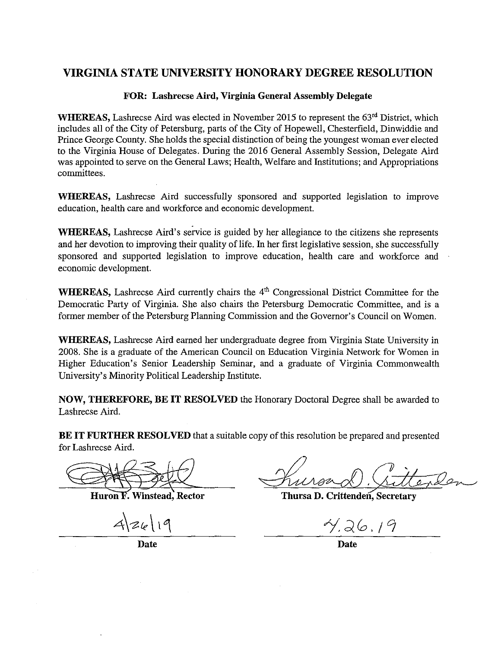## **VIRGINIA STATE UNIVERSITY HONORARY DEGREE RESOLUTION**

## **FOR: Lashrecse Aird, Virginia General Assembly Delegate**

WHEREAS, Lashrecse Aird was elected in November 2015 to represent the 63<sup>rd</sup> District, which includes all of the City of Petersburg, parts of the City of Hopewell, Chesterfield, Dinwiddie and Prince George County. She holds the special distinction of being the youngest woman ever elected to the Virginia House of Delegates. During the 2016 General Assembly Session, Delegate Aird was appointed to serve on the General Laws; Health, Welfare and Institutions; and Appropriations committees.

**WHEREAS,** Lashrecse Aird successfully sponsored and supported legislation to improve education, health care and workforce and economic development.

**WHEREAS,** Lashrecse Aird's service is guided by her allegiance to the citizens she represents and her devotion to improving their quality of life. In her first legislative session, she successfully sponsored and supported legislation to improve education, health care and workforce and economic development.

WHEREAS, Lashrecse Aird currently chairs the 4<sup>th</sup> Congressional District Committee for the Democratic Party of Virginia. She also chairs the Petersburg Democratic Committee, and is a former member of the Petersburg Planning Commission and the Governor's Council on Women.

**WHEREAS,** Lashrecse Aird earned her undergraduate degree from Virginia State University in 2008. She is a graduate of the American Council on Education Virginia Network for Women in Higher Education's Senior Leadership Seminar, and a graduate of Virginia Commonwealth University's Minority Political Leadership Institute.

**NOW, THEREFORE, BE IT RESOLVED** the Honorary Doctoral Degree shall be awarded to Lashrecse Aird.

**BE IT FURTHER RESOLVED** that a suitable copy of this resolution be prepared and presented for Lashrecse Aird.

Huron F. Winstead. Rector

 $4|z_{6}|^{19}$ 

~~~~ **Thursa D. Crittende.(secretarY** 

 $7.26.19$ 

**Date Date**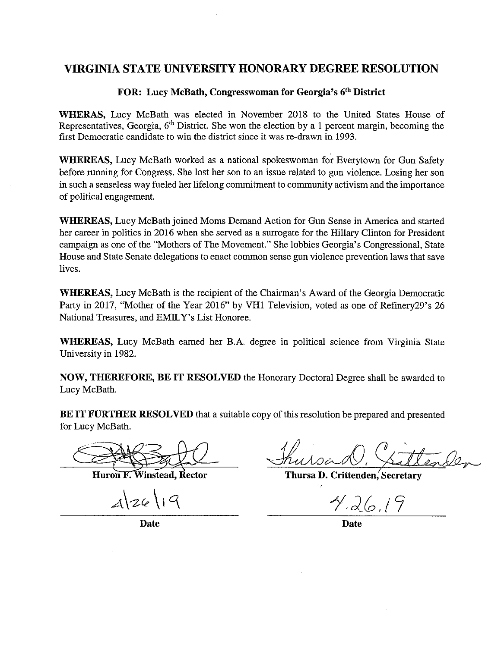## **VIRGINIA STATE UNIVERSITY HONORARY DEGREE RESOLUTION**

## **FOR: Lucy McBath, Congresswoman for Georgia's 6<sup>th</sup> District**

**WHERAS,** Lucy McBath was elected in November 2018 to the United States House of Representatives, Georgia, 6'h District. She won the election by a 1 percent margin, becoming the first Democratic candidate to win the district since it was re-drawn in 1993.

**WHEREAS,** Lucy McBath worked as a national spokeswoman for Everytown for Gun Safety before running for Congress. She lost her son to an issue related to gun violence. Losing her son in such a senseless way fueled her lifelong commitment to community activism and the importance of political engagement.

**WHEREAS,** Lucy McBath joined Moms Demand Action for Gun Sense in America and started her career in politics in 2016 when she served as a surrogate for the Hillary Clinton for President campaign as one of the "Mothers of The Movement." She lobbies Georgia's Congressional, State House and State Senate delegations to enact common sense gun violence prevention laws that save lives.

**WHEREAS,** Lucy McBath is the recipient of the Chairman's Award of the Georgia Democratic Party in 2017, "Mother of the Year 2016" by VH1 Television, voted as one of Refinery29's 26 National Treasures, and EMILY's List Honoree.

**WHEREAS,** Lucy McBath earned her B.A. degree in political science from Virginia State University in 1982.

**NOW, THEREFORE, BE IT RESOLVED** the Honorary Doctoral Degree shall be awarded to Lucy McBath.

**BE IT FURTHER RESOLVED** that a suitable copy of this resolution be prepared and presented for Lucy McBath.

Huron F. Winstead. Rector

 $4|26|19$ 

 $Mussa0,$ Suttender

**Thursa D. Crittenden,** 

 $7.26.19$ 

**Date Date**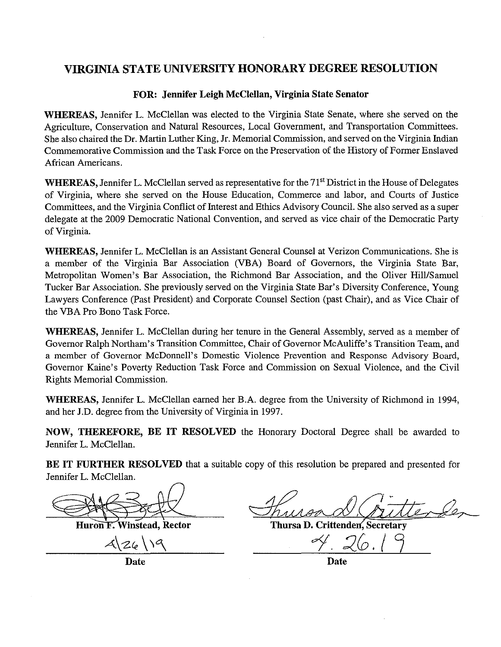## **VIRGINIA STATE UNIVERSITY HONORARY DEGREE RESOLUTION**

## **FOR: Jennifer Leigh McClellan, Virginia State Senator**

**WHEREAS,** Jennifer **L.** McClellan was elected to the Virginia State Senate, where she served on the Agriculture, Conservation and Natural Resources, Local Government, and Transportation Committees. She also chaired the Dr. Martin Luther King, Jr. Memorial Commission, and served on the Virginia Indian Commemorative Commission and the Task Force on the Preservation of the History of Former Enslaved African Americans.

WHEREAS, Jennifer L. McClellan served as representative for the 71<sup>st</sup> District in the House of Delegates of Virginia, where she served on the House Education, Commerce and labor, and Courts of Justice Committees, and the Virginia Conflict of Interest and Ethics Advisory Council. She also served as a super delegate at the 2009 Democratic National Convention, and served as vice chair of the Democratic Party of Virginia.

**WHEREAS,** Jennifer L. McClellan is an Assistant General Counsel at Verizon Communications. She is a member of the Virginia Bar Association (VBA) Board of Governors, the Virginia State Bar, Metropolitan Women's Bar Association, the Richmond Bar Association, and the Oliver Hill/Samuel Tucker Bar Association. She previously served on the Virginia State Bar's Diversity Conference, Young Lawyers Conference (Past President) and Corporate Counsel Section (past Chair), and as Vice Chair of the VBA Pro Bono Task Force.

**WHEREAS,** Jennifer L. McClellan during her tenure in the General Assembly, served as a member of Governor Ralph Northam's Transition Committee, Chair of Governor McAuliffe's Transition Team, and a member of Governor McDonnell's Domestic Violence Prevention and Response Advisory Board, Governor Kaine's Poverty Reduction Task Force and Commission on Sexual Violence, and the Civil Rights Memorial Commission.

**WHEREAS,** Jennifer **L.** McClellan earned her B.A. degree from the University of Richmond in 1994, and her **J.D.** degree from the University of Virginia in 1997.

**NOW, THEREFORE, BE IT RESOLVED** the Honorary Doctoral Degree shall be awarded to Jennifer L. McClellan. OW, THEREFORE, BE IT RESOLVED the Honorary Doctoral Dennifer L. McClellan.<br>
E IT FURTHER RESOLVED that a suitable copy of this resolution be<br>
ennifer L. McClellan.<br>
Huron F. Winstead, Rector<br>
Thursa D. Crittend<br>
Date Date

**BE IT FURTHER RESOLVED** that a suitable copy of this resolution be prepared and presented for Jennifer **L.** McClellan.